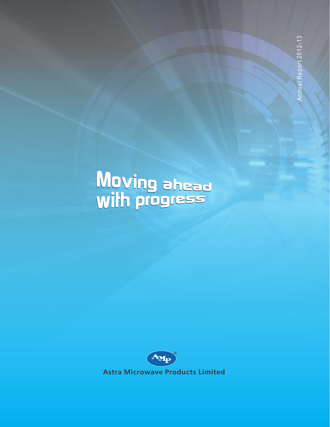# Moving ahead<br>with progress



**Astra Microwave Products Limited**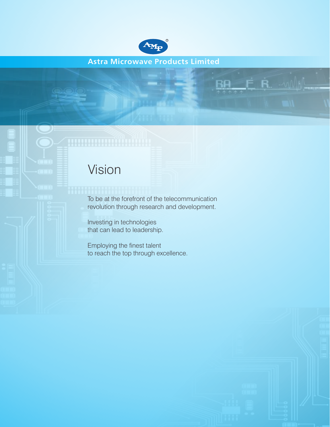

**Astra Microwave Products Limited**

 $\dot{\mathsf{\Xi}}$  R. -will

RA

# Vision

To be at the forefront of the telecommunication revolution through research and development.

Investing in technologies that can lead to leadership.

Employing the finest talent to reach the top through excellence.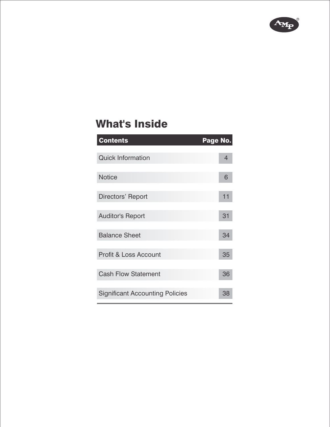

# What's Inside

| <b>Contents</b>                        | Page No. |
|----------------------------------------|----------|
|                                        |          |
| <b>Quick Information</b>               | 4        |
|                                        |          |
| <b>Notice</b>                          | 6        |
|                                        |          |
| Directors' Report                      | 11       |
|                                        |          |
| <b>Auditor's Report</b>                | 31       |
|                                        |          |
| <b>Balance Sheet</b>                   | 34       |
|                                        |          |
| <b>Profit &amp; Loss Account</b>       | 35       |
|                                        |          |
| <b>Cash Flow Statement</b>             | 36       |
|                                        |          |
| <b>Significant Accounting Policies</b> | 38       |
|                                        |          |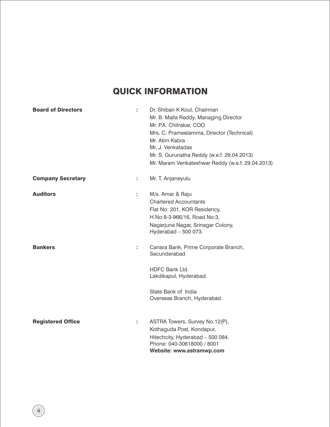# QUICK INFORMATION

| <b>Board of Directors</b> | t  | Dr. Shiban K Koul, Chairman<br>Mr. B. Malla Reddy, Managing Director<br>Mr. P.A. Chitrakar, COO<br>Mrs. C. Prameelamma, Director (Technical)<br>Mr. Atim Kabra<br>Mr. J. Venkatadas<br>Mr. S. Gurunatha Reddy (w.e.f. 29.04.2013)<br>Mr. Maram Venkateshwar Reddy (w.e.f. 29.04.2013) |
|---------------------------|----|---------------------------------------------------------------------------------------------------------------------------------------------------------------------------------------------------------------------------------------------------------------------------------------|
| <b>Company Secretary</b>  | t. | Mr. T. Anjaneyulu                                                                                                                                                                                                                                                                     |
| <b>Auditors</b>           | t  | M/s. Amar & Raju<br><b>Chartered Accountants</b><br>Flat No: 201, KOR Residency,<br>H.No:8-3-966/16, Road No:3,<br>Nagarjuna Nagar, Srinagar Colony,<br>Hyderabad $-500073$ .                                                                                                         |
| <b>Bankers</b>            | ÷  | Canara Bank, Prime Corporate Branch,<br>Secunderabad                                                                                                                                                                                                                                  |
|                           |    | <b>HDFC Bank Ltd.</b><br>Lakdikapul, Hyderabad.                                                                                                                                                                                                                                       |
|                           |    | State Bank of India<br>Overseas Branch, Hyderabad.                                                                                                                                                                                                                                    |
| <b>Registered Office</b>  | t  | ASTRA Towers, Survey No.12(P),<br>Kothaguda Post, Kondapur,<br>Hitechcity, Hyderabad - 500 084.<br>Phone: 040-30618000 / 8001<br>Website: www.astramwp.com                                                                                                                            |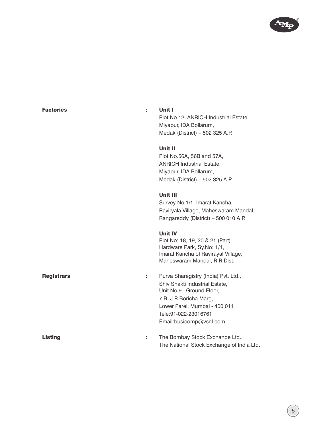

| <b>Factories</b><br>÷  | Unit I<br>Plot No.12, ANRICH Industrial Estate,<br>Miyapur, IDA Bollarum,<br>Medak (District) - 502 325 A.P.                                                                                                     |
|------------------------|------------------------------------------------------------------------------------------------------------------------------------------------------------------------------------------------------------------|
|                        | Unit II<br>Plot No.56A, 56B and 57A,<br><b>ANRICH Industrial Estate,</b><br>Miyapur, IDA Bollarum,<br>Medak (District) - 502 325 A.P.                                                                            |
|                        | Unit III<br>Survey No.1/1, Imarat Kancha,<br>Raviryala Village, Maheswaram Mandal,<br>Rangareddy (District) - 500 010 A.P.                                                                                       |
|                        | <b>Unit IV</b><br>Plot No: 18, 19, 20 & 21 (Part)<br>Hardware Park, Sy.No: 1/1,<br>Imarat Kancha of Ravirayal Village,<br>Maheswaram Mandal, R.R.Dist.                                                           |
| <b>Registrars</b><br>÷ | Purva Sharegistry (India) Pvt. Ltd.,<br>Shiv Shakti Industrial Estate,<br>Unit No.9, Ground Floor,<br>7 B J R Boricha Marg,<br>Lower Parel, Mumbai - 400 011<br>Tele: 91-022-23016761<br>Email:busicomp@vsnl.com |
| <b>Listing</b><br>÷    | The Bombay Stock Exchange Ltd.,<br>The National Stock Exchange of India Ltd.                                                                                                                                     |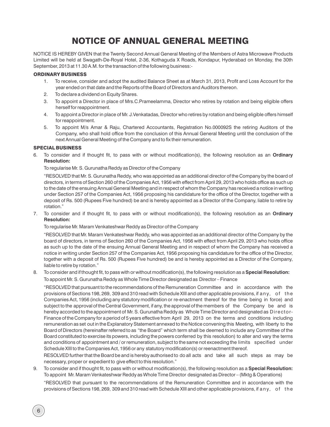# NOTICE OF ANNUAL GENERAL MEETING

NOTICE IS HEREBY GIVEN that the Twenty Second Annual General Meeting of the Members of Astra Microwave Products Limited will be h eld at Swagath-De-Royal Hotel, 2-36, Kothaguda X Roads, Kondapur, Hyderabad on Monday, the 30th September, 2013 at 11.30 A.M. for the transaction of the following business:-

#### ORDINARY BUSINESS

- 1. To receive, consider and adopt the audited Balance Sheet as at March 31, 2013, Profit and Loss Account for the year ended on that date and the Reports of the Board of Directors and Auditors thereon.
- 2. To declare a dividend on Equity Shares.
- 3. To appoint a Director in place of Mrs.C.Prameelamma, Director who retires by rotation and being eligible offers herself for reappointment.
- 4. To appoint a Director in place of Mr. J.Venkatadas, Director who retires by rotation and being eligible offers himself for reappointment.
- 5. To appoint M/s Amar & Raju, Chartered Accountants, Registration No.000092S the retiring Auditors of the Company, who shall hold office from the conclusion of this Annual General Meeting until the conclusion of the next Annual General Meeting of the Company and to fix their remuneration.

#### SPECIAL BUSINESS

6. To consider and if thought fit, to pass with or without modification(s), the following resolution as an **Ordinary Resolution:**

To regularise Mr. S. Gurunatha Reddy as Director of the Company

"RESOLVED that Mr. S. Gurunatha Reddy, who was appointed as an additional director of the Company by the board of directors, in terms of Section 260 of the Companies Act, 1956 with effect from April 29, 2013 who holds office as such up to the date of the ensuing Annual General Meeting and in respect of whom the Company has received a notice in writing under Section 257 of the Companies Act, 1956 proposing his candidature for the office of the Director, together with a deposit of Rs. 500 (Rupees Five hundred) be and is hereby appointed as a Director of the Company, liable to retire by rotation."

7. To consider and if thought fit, to pass with or without modification(s), the following resolution as an **Ordinary Resolution:** 

To regularise Mr. Maram Venkateshwar Reddy as Director of the Company

"RESOLVED that Mr. Maram Venkateshwar Reddy, who was appointed as an additional director of the Company by the board of directors, in terms of Section 260 of the Companies Act, 1956 with effect from April 29, 2013 who holds office as such up to the date of the ensuing Annual General Meeting and in respect of whom the Company has received a notice in writing under Section 257 of the Companies Act, 1956 proposing his candidature for the office of the Director, together with a deposit of Rs. 500 (Rupees Five hundred) be and is hereby appointed as a Director of the Company, liable to retire by rotation."

8. To consider and if thought fit, to pass with or without modification(s), the following resolution as a **Special Resolution:** To appoint Mr. S. Gurunatha Reddy as Whole Time Director designated as Director – Finance

"RESOLVED that pursuant to the recommendations of the Remuneration Committee and in accordance with the provisions of Sections 198, 269, 309 and 310 read with Schedule XIII and other applicable provisions, if any, of the Companies Act, 1956 (including any statutory modification or re-enactment thereof for the time being in force) and subject to the approval of the Central Government, if any, the approval of the members of the Company be and is hereby accorded to the appointment of Mr. S. Gurunatha Reddy as Whole Time Director and designated as Director-Finance of the Company for a period of 5 years effective from April 29, 2013 on the terms and conditions including remuneration as set out in the Explanatory Statement annexed to the Notice convening this Meeting, with liberty to the Board of Directors (hereinafter referred to as "the Board" which term shall be deemed to include any Committee of the Board constituted to exercise its powers, including the powers conferred by this resolution) to alter and vary the terms and conditions of appointment and / or remuneration, subject to the same not exceeding the limits specified under Schedule XIII to the Companies Act, 1956 or any statutory modification(s) or reenactment thereof.

RESOLVED further that the Board be and is hereby authorised to do all acts and take all such steps as may be necessary, proper or expedient to give effect to this resolution."

9. To consider and if thought fit, to pass with or without modification(s), the following resolution as a **Special Resolution:** To appoint Mr. Maram Venkateshwar Reddy as Whole Time Director designated as Director – (Mktg & Operations)

"RESOLVED that pursuant to the recommendations of the Remuneration Committee and in accordance with the provisions of Sections 198, 269, 309 and 310 read with Schedule XIII and other applicable provisions, if any, of the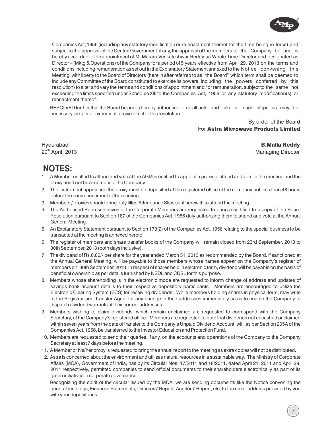

Companies Act, 1956 (including any statutory modification or re-enactment thereof for the time being in force) and subject to the approval of the Central Government, if any, the approval of the members of the Company be and is hereby accorded to the appointment of Mr.Maram Venkateshwar Reddy as Whole Time Director and designated as Director – (Mktg & Operations) of the Company for a period of 5 years effective from April 29, 2013 on the terms and conditions including remuneration as set out in the Explanatory Statement annexed to the Notice convening this Meeting, with liberty to the Board of Directors (here in after referred to as "the Board" which term shall be deemed to include any Committee of the Board constituted to exercise its powers, including the powers conferred by this resolution) to alter and vary the terms and conditions of appointment and / or remuneration, subject to the same not exceeding the limits specified under Schedule XIII to the Companies Act, 1956 or any statutory modification(s) or reenactment thereof.

RESOLVED further that the Board be and is hereby authorised to do all acts and take all such steps as may be necessary, proper or expedient to give effect to this resolution."

> By order of the Board For Astra Microwave Products Limited

Hyderabad 29<sup>th</sup> April, 2013

B.Malla Reddy Managing Director

7

# **NOTES:**

- 1. A Member entitled to attend and vote at the AGM is entitled to appoint a proxy to attend and vote in the meeting and the proxy need not be a member of the Company.
- 2. The instrument appointing the proxy must be deposited at the registered office of the company not less than 48 hours before the commencement of the meeting.
- 3. Members / proxies should bring duly filled Attendance Slips sent herewith to attend the meeting.
- 4. The Authorised Representatives of the Corporate Members are requested to bring a certified true copy of the Board Resolution pursuant to Section 187 of the Companies Act, 1956 duly authorizing them to attend and vote at the Annual General Meeting.
- 5. An Explanatory Statement pursuant to Section 173(2) of the Companies Act, 1956 relating to the special business to be transacted at the meeting is annexed hereto.
- 6. The register of members and share transfer books of the Company will remain closed from 23rd September, 2013 to 30th September, 2013 (both days inclusive).
- 7. The dividend of Rs.0.80/- per share for the year ended March 31, 2013 as recommended by the Board, if sanctioned at the Annual General Meeting, will be payable to those members whose names appear on the Company's register of members on 30th September, 2013. In respect of shares held in electronic form, dividend will be payable on the basis of beneficial ownership as per details furnished by NSDL and CDSL for this purpose.
- savings bank account details to their respective depository participants. Members are encouraged to utilize the Electronic Clearing System (ECS) for receiving dividends. While members holding shares in physical form, may write to the Registrar and Transfer Agent for any change in their addresses immediately so as to enable the Company to dispatch dividend warrants at their correct addresses. 8. Members whose shareholding is in the electronic mode are requested to inform change of address and updates of
- 9. Members wishing to claim dividends, which remain unclaimed are requested to correspond with the Company Secretary, at the Company's registered office. Members are requested to note that dividends not encashed or claimed within seven years from the date of transfer to the Company's Unpaid Dividend Account, will, as per Section 205A of the Companies Act, 1956, be transferred to the Investor Education and Protection Fund.
- 10. Members are requested to send their queries, if any, on the accounts and operations of the Company to the Company Secretary at least 7 days before the meeting.
- 11. A Member or his/her proxy is requested to bring the annual report to the meeting as extra copies will not be distributed.
- 12. Astra is concerned about the environment and utilizes natural resources in a sustainable way. The Ministry of Corporate Affairs (MCA), Government of India, has by its Circular Nos. 17/2011 and 18/2011, dated April 21, 2011 and April 29, 2011 respectively, permitted companies to send official documents to their shareholders electronically as part of its green initiatives in corporate governance.

Recognizing the spirit of the circular issued by the MCA, we are sending documents like the Notice convening the general meetings, Financial Statements, Directors' Report, Auditors' Report, etc, to the email address provided by you with your depositories.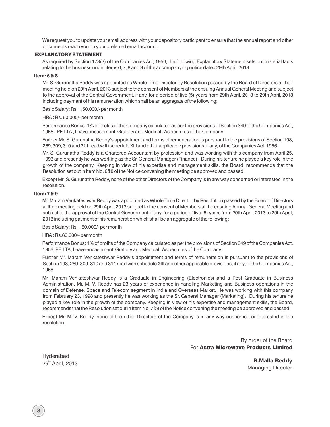We request you to update your email address with your depository participant to ensure that the annual report and other documents reach you on your preferred email account.

#### EXPLANATORY STATEMENT

As required by Section 173(2) of the Companies Act, 1956, the following Explanatory Statement sets out material facts relating to the business under items 6, 7, 8 and 9 of the accompanying notice dated 29th April, 2013.

#### Item: 6 & 8

Mr. S. Gurunatha Reddy was appointed as Whole Time Director by Resolution passed by the Board of Directors at their meeting held on 29th April, 2013 subject to the consent of Members at the ensuing Annual General Meeting and subject to the approval of the Central Government, if any, for a period of five (5) years from 29th April, 2013 to 29th April, 2018 including payment of his remuneration which shall be an aggregate of the following:

Basic Salary: Rs. 1,50,000/- per month

HRA : Rs. 60,000/- per month

Performance Bonus: 1% of profits of the Company calculated as per the provisions of Section 349 of the Companies Act, 1956. PF, LTA , Leave encashment, Gratuity and Medical : As per rules of the Company.

Further Mr. S. Gurunatha Reddy's appointment and terms of remuneration is pursuant to the provisions of Section 198, 269, 309, 310 and 311 read with schedule XIII and other applicable provisions, if any, of the Companies Act, 1956.

Mr. S. Gurunatha Reddy is a Chartered Accountant by profession and was working with this company from April 25, 1993 and presently he was working as the Sr. General Manager (Finance). During his tenure he played a key role in the growth of the company. Keeping in view of his expertise and management skills, the Board, recommends that the Resolution set out in Item No. 6&8 of the Notice convening the meeting be approved and passed.

Except Mr .S. Gurunatha Reddy, none of the other Directors of the Company is in any way concerned or interested in the resolution.

#### Item: 7 & 9

Mr. Maram Venkateshwar Reddy was appointed as Whole Time Director by Resolution passed by the Board of Directors at their meeting held on 29th April, 2013 subject to the consent of Members at the ensuing Annual General Meeting and subject to the approval of the Central Government, if any, for a period of five (5) years from 29th April, 2013 to 29th April, 2018 including payment of his remuneration which shall be an aggregate of the following:

Basic Salary: Rs.1,50,000/- per month

HRA : Rs.60,000/- per month

Performance Bonus: 1% of profits of the Company calculated as per the provisions of Section 349 of the Companies Act, 1956. PF, LTA, Leave encashment, Gratuity and Medical : As per rules of the Company.

Further Mr. Maram Venkateshwar Reddy's appointment and terms of remuneration is pursuant to the provisions of Section 198, 269, 309, 310 and 311 read with schedule XIII and other applicable provisions, if any, of the Companies Act, 1956.

Mr .Maram Venkateshwar Reddy is a Graduate in Engineering (Electronics) and a Post Graduate in Business Administration, Mr. M. V. Reddy has 23 years of experience in handling Marketing and Business operations in the domain of Defense, Space and Telecom segment in India and Overseas Market. He was working with this company from February 23, 1998 and presently he was working as the Sr. General Manager (Marketing). During his tenure he played a key role in the growth of the company. Keeping in view of his expertise and management skills, the Board, recommends that the Resolution set out in Item No. 7&9 of the Notice convening the meeting be approved and passed.

Except Mr. M. V. Reddy, none of the other Directors of the Company is in any way concerned or interested in the resolution.

> By order of the Board For Astra Microwave Products Limited

Hyderabad

th 2013 **B.Malla Reddy**<br>29<sup>th</sup> April, 2013 Managing Director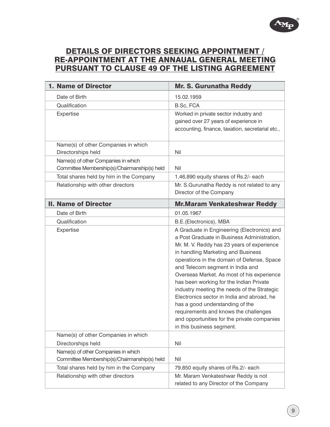# DETAILS OF DIRECTORS SEEKING APPOINTMENT / RE-APPOINTMENT AT THE ANNAUAL GENERAL MEETING PURSUANT TO CLAUSE 49 OF THE LISTING AGREEMENT

| 1. Name of Director                                                                 | <b>Mr. S. Gurunatha Reddy</b>                                                                                                                                                                                                                                                                                                                                                                                                                                                                                                                                                                                  |
|-------------------------------------------------------------------------------------|----------------------------------------------------------------------------------------------------------------------------------------------------------------------------------------------------------------------------------------------------------------------------------------------------------------------------------------------------------------------------------------------------------------------------------------------------------------------------------------------------------------------------------------------------------------------------------------------------------------|
| Date of Birth                                                                       | 15.02.1959                                                                                                                                                                                                                                                                                                                                                                                                                                                                                                                                                                                                     |
| Qualification                                                                       | B.Sc, FCA                                                                                                                                                                                                                                                                                                                                                                                                                                                                                                                                                                                                      |
| Expertise                                                                           | Worked in private sector industry and<br>gained over 27 years of experience in<br>accounting, finance, taxation, secretarial etc.,                                                                                                                                                                                                                                                                                                                                                                                                                                                                             |
| Name(s) of other Companies in which<br>Directorships held                           | Nil                                                                                                                                                                                                                                                                                                                                                                                                                                                                                                                                                                                                            |
| Name(s) of other Companies in which<br>Committee Membership(s)/Chairmanship(s) held | Nil                                                                                                                                                                                                                                                                                                                                                                                                                                                                                                                                                                                                            |
| Total shares held by him in the Company                                             | 1,46,890 equity shares of Rs.2/- each                                                                                                                                                                                                                                                                                                                                                                                                                                                                                                                                                                          |
| Relationship with other directors                                                   | Mr. S.Gurunatha Reddy is not related to any<br>Director of the Company                                                                                                                                                                                                                                                                                                                                                                                                                                                                                                                                         |
| <b>II. Name of Director</b>                                                         | <b>Mr.Maram Venkateshwar Reddy</b>                                                                                                                                                                                                                                                                                                                                                                                                                                                                                                                                                                             |
| Date of Birth                                                                       | 01.05.1967                                                                                                                                                                                                                                                                                                                                                                                                                                                                                                                                                                                                     |
| Qualification                                                                       | B.E. (Electronics), MBA                                                                                                                                                                                                                                                                                                                                                                                                                                                                                                                                                                                        |
| Expertise                                                                           | A Graduate in Engineering (Electronics) and<br>a Post Graduate in Business Administration,<br>Mr. M. V. Reddy has 23 years of experience<br>in handling Marketing and Business<br>operations in the domain of Defense, Space<br>and Telecom segment in India and<br>Overseas Market. As most of his experience<br>has been working for the Indian Private<br>industry meeting the needs of the Strategic<br>Electronics sector in India and abroad, he<br>has a good understanding of the<br>requirements and knows the challenges<br>and opportunities for the private companies<br>in this business segment. |
| Name(s) of other Companies in which                                                 |                                                                                                                                                                                                                                                                                                                                                                                                                                                                                                                                                                                                                |
| Directorships held                                                                  | Nil                                                                                                                                                                                                                                                                                                                                                                                                                                                                                                                                                                                                            |
| Name(s) of other Companies in which<br>Committee Membership(s)/Chairmanship(s) held | Nil                                                                                                                                                                                                                                                                                                                                                                                                                                                                                                                                                                                                            |
| Total shares held by him in the Company                                             | 79,850 equity shares of Rs.2/- each                                                                                                                                                                                                                                                                                                                                                                                                                                                                                                                                                                            |
| Relationship with other directors                                                   | Mr. Maram Venkateshwar Reddy is not<br>related to any Director of the Company                                                                                                                                                                                                                                                                                                                                                                                                                                                                                                                                  |

R

 ${\bf A_M}$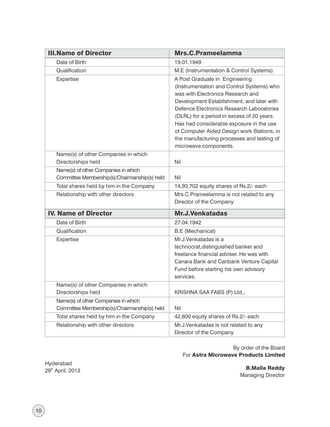| <b>III.Name of Director</b>                                                         | Mrs.C.Prameelamma                                                                                                                                                                                                                                                                                                                                                                                                         |
|-------------------------------------------------------------------------------------|---------------------------------------------------------------------------------------------------------------------------------------------------------------------------------------------------------------------------------------------------------------------------------------------------------------------------------------------------------------------------------------------------------------------------|
| Date of Birth                                                                       | 19.01.1949                                                                                                                                                                                                                                                                                                                                                                                                                |
| Qualification                                                                       | M.E (Instrumentation & Control Systems)                                                                                                                                                                                                                                                                                                                                                                                   |
| Expertise                                                                           | A Post Graduate in Engineering<br>(Instrumentation and Control Systems) who<br>was with Electronics Research and<br>Development Establishment, and later with<br>Defence Electronics Research Laboratories<br>(DLRL) for a period in excess of 20 years.<br>Has had considerable exposure in the use<br>of Computer Aided Design work Stations, in<br>the manufacturing processes and testing of<br>microwave components. |
| Name(s) of other Companies in which<br>Directorships held                           | Nil                                                                                                                                                                                                                                                                                                                                                                                                                       |
| Name(s) of other Companies in which<br>Committee Membership(s)/Chairmanship(s) held | Nil                                                                                                                                                                                                                                                                                                                                                                                                                       |
| Total shares held by him in the Company                                             | 14,93,702 equity shares of Rs.2/- each                                                                                                                                                                                                                                                                                                                                                                                    |
| Relationship with other directors                                                   | Mrs.C.Prameelamma is not related to any<br>Director of the Company                                                                                                                                                                                                                                                                                                                                                        |
| <b>IV. Name of Director</b>                                                         | <b>Mr.J.Venkatadas</b>                                                                                                                                                                                                                                                                                                                                                                                                    |
| Date of Birth                                                                       | 27.04.1942                                                                                                                                                                                                                                                                                                                                                                                                                |
| Qualification                                                                       | <b>B.E</b> (Mechanical)                                                                                                                                                                                                                                                                                                                                                                                                   |
| Expertise                                                                           | Mr.J.Venkatadas is a<br>technocrat, distinguished banker and<br>freelance financial adviser. He was with<br>Canara Bank and Canbank Venture Capital<br>Fund before starting his own advisory<br>services.                                                                                                                                                                                                                 |
| Name(s) of other Companies in which                                                 |                                                                                                                                                                                                                                                                                                                                                                                                                           |
| Directorships held                                                                  | KRISHNA SAA FABS (P) Ltd.,                                                                                                                                                                                                                                                                                                                                                                                                |
| Name(s) of other Companies in which                                                 |                                                                                                                                                                                                                                                                                                                                                                                                                           |
| Committee Membership(s)/Chairmanship(s) held                                        | Nil                                                                                                                                                                                                                                                                                                                                                                                                                       |
| Total shares held by him in the Company                                             | 42,600 equity shares of Rs.2/- each                                                                                                                                                                                                                                                                                                                                                                                       |
| Relationship with other directors                                                   | Mr.J.Venkatadas is not related to any<br>Director of the Company                                                                                                                                                                                                                                                                                                                                                          |

By order of the Board For Astra Microwave Products Limited

Hyderabad 29<sup>th</sup> April, 2013

B.Malla Reddy Managing Director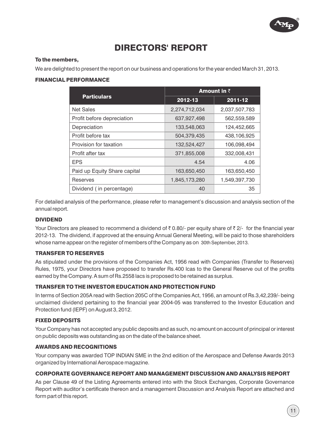

# DIRECTORS' REPORT

#### To the members,

We are delighted to present the report on our business and operations for the year ended March 31, 2013.

#### FINANCIAL PERFORMANCE

|                              | <b>Amount in <math>\bar{z}</math></b> |               |  |  |
|------------------------------|---------------------------------------|---------------|--|--|
| <b>Particulars</b>           | 2012-13                               | 2011-12       |  |  |
| <b>Net Sales</b>             | 2,274,712,034                         | 2,037,507,783 |  |  |
| Profit before depreciation   | 637,927,498                           | 562,559,589   |  |  |
| Depreciation                 | 133,548,063                           | 124,452,665   |  |  |
| Profit before tax            | 504,379,435                           | 438,106,925   |  |  |
| Provision for taxation       | 132,524,427                           | 106,098,494   |  |  |
| Profit after tax             | 371,855,008                           | 332,008,431   |  |  |
| <b>EPS</b>                   | 4.54                                  | 4.06          |  |  |
| Paid up Equity Share capital | 163,650,450                           | 163,650,450   |  |  |
| Reserves                     | 1,845,173,280                         | 1,549,397,730 |  |  |
| Dividend (in percentage)     | 40                                    | 35            |  |  |

For detailed analysis of the performance, please refer to management's discussion and analysis section of the annual report.

#### DIVIDEND

Your Directors are pleased to recommend a dividend of  $\bar{\tau}$  0.80/- per equity share of  $\bar{\tau}$  2/- for the financial year 2012-13. The dividend, if approved at the ensuing Annual General Meeting, will be paid to those shareholders whose name appear on the register of members of the Company as on 30th September, 2013.

#### TRANSFER TO RESERVES

As stipulated under the provisions of the Companies Act, 1956 read with Companies (Transfer to Reserves) Rules, 1975, your Directors have proposed to transfer Rs.400 lcas to the General Reserve out of the profits earned by the Company. A sum of Rs.2558 lacs is proposed to be retained as surplus.

#### TRANSFER TO THE INVESTOR EDUCATION AND PROTECTION FUND

In terms of Section 205A read with Section 205C of the Companies Act, 1956, an amount of Rs.3,42,239/- being unclaimed dividend pertaining to the financial year 2004-05 was transferred to the Investor Education and Protection fund (IEPF) on August 3, 2012.

#### FIXED DEPOSITS

Your Company has not accepted any public deposits and as such, no amount on account of principal or interest on public deposits was outstanding as on the date of the balance sheet.

#### AWARDS AND RECOGNITIONS

Your company was awarded TOP INDIAN SME in the 2nd edition of the Aerospace and Defense Awards 2013 organized by International Aerospace magazine.

#### CORPORATE GOVERNANCE REPORT AND MANAGEMENT DISCUSSION AND ANALYSIS REPORT

As per Clause 49 of the Listing Agreements entered into with the Stock Exchanges, Corporate Governance Report with auditor's certificate thereon and a management Discussion and Analysis Report are attached and form part of this report.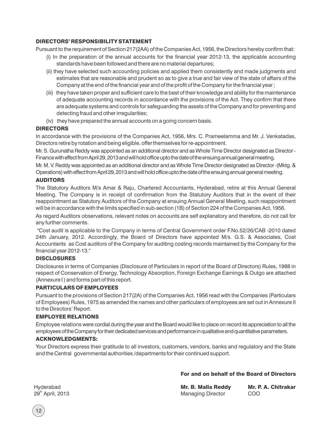#### DIRECTORS' RESPONSIBILITY STATEMENT

Pursuant to the requirement of Section 217(2AA) of the Companies Act, 1956, the Directors hereby confirm that:

- (i) In the preparation of the annual accounts for the financial year 2012-13, the applicable accounting standards have been followed and there are no material departures;
- (ii) they have selected such accounting policies and applied them consistently and made judgments and estimates that are reasonable and prudent so as to give a true and fair view of the state of affairs of the Company at the end of the financial year and of the profit of the Company for the financial year ;
- (iii) they have taken proper and sufficient care to the best of their knowledge and ability for the maintenance of adequate accounting records in accordance with the provisions of the Act. They confirm that there are adequate systems and controls for safeguarding the assets of the Company and for preventing and detecting fraud and other irregularities;
- (iv) they have prepared the annual accounts on a going concern basis.

#### **DIRECTORS**

In accordance with the provisions of the Companies Act, 1956, Mrs. C. Prameelamma and Mr. J. Venkatadas, Directors retire by rotation and being eligible, offer themselves for re-appointment.

Mr. S. Gurunatha Reddy was appointed as an additional director and as Whole Time Director designated as Director - Finance with effect from April 29, 2013 and will hold office upto the date of the ensuing annual general meeting.

Mr. M. V. Reddy was appointed as an additional director and as Whole Time Director designated as Director -(Mktg. & Operations) with effect from April 29, 2013 and will hold office upto the date of the ensuing annual general meeting.

#### AUDITORS

The Statutory Auditors M/s Amar & Raju, Chartered Accountants, Hyderabad, retire at this Annual General Meeting. The Company is in receipt of confirmation from the Statutory Auditors that in the event of their reappointment as Statutory Auditors of the Company at ensuing Annual General Meeting, such reappointment will be in accordance with the limits specified in sub-section (1B) of Section 224 of the Companies Act, 1956.

As regard Auditors observations, relevant notes on accounts are self explanatory and therefore, do not call for any further comments.

"Cost audit is applicable to the Company in terms of Central Government order F.No.52/26/CAB -2010 dated 24th January, 2012. Accordingly, the Board of Directors have appointed M/s. G.S. & Associates, Cost Accountants as Cost auditors of the Company for auditing costing records maintained by the Company for the financial year 2012-13."

#### DISCLOSURES

Disclosures in terms of Companies (Disclosure of Particulars in report of the Board of Directors) Rules, 1988 in respect of Conservation of Energy, Technology Absorption, Foreign Exchange Earnings & Outgo are attached (Annexure I) and forms part of this report.

#### PARTICULARS OF EMPLOYEES

Pursuant to the provisions of Section 217(2A) of the Companies Act, 1956 read with the Companies (Particulars of Employees) Rules, 1975 as amended the names and other particulars of employees are set out in Annexure II to the Directors' Report.

#### EMPLOYEE RELATIONS

Employee relations were cordial during the year and the Board would like to place on record its appreciation to all the employees of the Company for their dedicated services and performance in qualitative and quantitative parameters.

#### ACKNOWLEDGMENTS:

Your Directors express their gratitude to all investors, customers, vendors, banks and regulatory and the State and the Central governmental authorities /departments for their continued support.

#### For and on behalf of the Board of Directors

Mr. B. Malla Reddy Managing Director Mr. P. A. Chitrakar COO

Hyderabad 29<sup>th</sup> April, 2013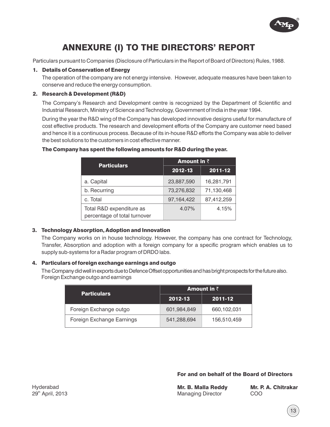

# ANNEXURE (I) TO THE DIRECTORS' REPORT

Particulars pursuant to Companies (Disclosure of Particulars in the Report of Board of Directors) Rules, 1988.

#### 1. Details of Conservation of Energy

The operation of the company are not energy intensive. However, adequate measures have been taken to conserve and reduce the energy consumption.

#### 2. Research & Development (R&D)

The Company's Research and Development centre is recognized by the Department of Scientific and Industrial Research, Ministry of Science and Technology, Government of India in the year 1994.

During the year the R&D wing of the Company has developed innovative designs useful for manufacture of cost effective products. The research and development efforts of the Company are customer need based and hence it is a continuous process. Because of its in-house R&D efforts the Company was able to deliver the best solutions to the customers in cost effective manner.

## The Company has spent the following amounts for R&D during the year.

| <b>Particulars</b>                                       | <b>Amount in <math>\bar{z}</math></b> |             |  |  |
|----------------------------------------------------------|---------------------------------------|-------------|--|--|
|                                                          | 2012-13                               | $2011 - 12$ |  |  |
| a. Capital                                               | 23,887,590                            | 16,281,791  |  |  |
| b. Recurring                                             | 73,276,832                            | 71,130,468  |  |  |
| c. Total                                                 | 97,164,422                            | 87,412,259  |  |  |
| Total R&D expenditure as<br>percentage of total turnover | 4.07%                                 | 4.15%       |  |  |

#### 3. Technology Absorption, Adoption and Innovation

The Company works on in house technology. However, the company has one contract for Technology, Transfer, Absorption and adoption with a foreign company for a specific program which enables us to supply sub-systems for a Radar program of DRDO labs.

#### 4. Particulars of foreign exchange earnings and outgo

The Company did well in exports due to Defence Offset opportunities and has bright prospects for the future also. Foreign Exchange outgo and earnings

| <b>Particulars</b>        | Amount in $\bar{z}$ |             |  |
|---------------------------|---------------------|-------------|--|
|                           | 2012-13             | 2011-12     |  |
| Foreign Exchange outgo    | 601,984,849         | 660,102,031 |  |
| Foreign Exchange Earnings | 541,288,694         | 156,510,459 |  |

For and on behalf of the Board of Directors

| Mr. B. Malla Reddy       |  |  |  |
|--------------------------|--|--|--|
| <b>Managing Director</b> |  |  |  |

Mr. P. A. Chitraka**r** COO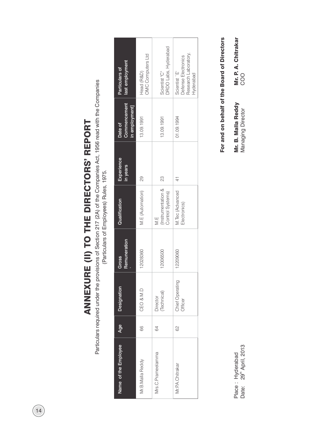ANNEXURE (II) TO THE DIRECTORS' REPORT ANNEXURE (II) TO THE DIRECTORS' REPORT

Particulars required under the provisions of Section 217 (2A) of the Companies Act, 1956 read with the Companies<br>(Particulars (Particulars of Employees) Rules, 1975. Particulars required under the provisions of Section 217 (2A) of the Companies Act, 1956 read with the Companies

(Particulars of Employees) Rules, 1975.

| last employment<br>Particulars of                | <b>OMC</b> Computers Ltd<br>Head (R&D) | <b>DRDO Labs, Hyderabad</b><br>Scientist "C" | Research Laboratory,<br>Defense Electronics<br>Scientist `E'<br>Hyderabad |
|--------------------------------------------------|----------------------------------------|----------------------------------------------|---------------------------------------------------------------------------|
| <b>Commencement</b><br>in employment]<br>Date of | 13.09.1991                             | 13.09.1991                                   | 01.09.1994                                                                |
| Experience<br>in years                           | 29                                     | 23                                           |                                                                           |
| Qualification                                    | M.E (Automation)                       | Instrumentation &<br>Control Systems)<br>M.E | VI. Tec (Advanced<br>Electronics)                                         |
| Remuneration<br>Gross                            | 12028360                               | 2006500                                      | 12209060                                                                  |
| Designation                                      | CEO & M.D                              | Technical)<br>Director                       | <b>Chief Operating</b><br>Officer                                         |
| Age                                              | 66                                     | 64                                           | 8                                                                         |
| Name of the Employee                             | Mr.B.Malla Reddy                       | Mrs.C.Prameelamma                            | Mr. P.A. Chitrakar                                                        |

For and on behalf of the Board of Directors For and on behalf of the Board of Directors

Mr. B. Malla Reddy Managing Director

Mr. B. Malla Reddy<br>Managing Director

Mr. P. A. Chitrakar Mr. P. A. Chitrakar<br>COO

Place: Hyderabad<br>Date: 29<sup>th</sup> April, 2013 Place : Hyderabad

Date: 29<sup>th</sup> April, 2013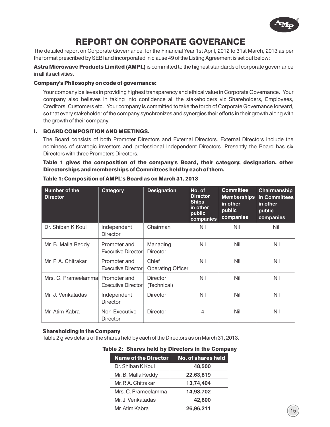

# REPORT ON CORPORATE GOVERANCE

The detailed report on Corporate Governance, for the Financial Year 1st April, 2012 to 31st March, 2013 as per the format prescribed by SEBI and incorporated in clause 49 of the Listing Agreement is set out below:

Astra Microwave Products Limited (AMPL) is committed to the highest standards of corporate governance in all its activities.

#### Company's Philosophy on code of governance:

Your company believes in providing highest transparency and ethical value in Corporate Governance. Your company also believes in taking into confidence all the stakeholders viz Shareholders, Employees, Creditors, Customers etc. Your company is committed to take the torch of Corporate Governance forward, so that every stakeholder of the company synchronizes and synergies their efforts in their growth along with the growth of their company.

#### I. BOARD COMPOSITION AND MEETINGS.

The Board consists of both Promoter Directors and External Directors. External Directors include the nominees of strategic investors and professional Independent Directors. Presently the Board has six Directors with three Promoters Directors.

Table 1 gives the composition of the company's Board, their category, designation, other Directorships and memberships of Committees held by each of them.

| Number of the<br><b>Director</b> | Category                                  | <b>Designation</b>             | No. of<br><b>Director</b><br><b>Ships</b><br>in other<br>public<br>companies | <b>Committee</b><br><b>Memberships</b><br>in other<br>public<br>companies | Chairmanship<br>in Committees<br>in other<br>public<br>companies |
|----------------------------------|-------------------------------------------|--------------------------------|------------------------------------------------------------------------------|---------------------------------------------------------------------------|------------------------------------------------------------------|
| Dr. Shiban K Koul                | Independent<br><b>Director</b>            | Chairman                       | Nil                                                                          | Nil                                                                       | Nil                                                              |
| Mr. B. Malla Reddy               | Promoter and<br><b>Executive Director</b> | Managing<br><b>Director</b>    | Nil                                                                          | Nil                                                                       | Nil                                                              |
| Mr. P. A. Chitrakar              | Promoter and<br><b>Executive Director</b> | Chief<br>Operating Officer     | Nil                                                                          | Nil                                                                       | Nil                                                              |
| Mrs. C. Prameelammal             | Promoter and<br><b>Executive Director</b> | <b>Director</b><br>(Technical) | Nil                                                                          | Nil                                                                       | Nil                                                              |
| Mr. J. Venkatadas                | Independent<br><b>Director</b>            | Director                       | Nil                                                                          | Nil                                                                       | Nil                                                              |
| Mr. Atim Kabra                   | Non-Executive<br>Director                 | <b>Director</b>                | 4                                                                            | Nil                                                                       | Nil                                                              |

#### Table 1: Composition of AMPL's Board as on March 31, 2013

#### Shareholding in the Company

Table 2 gives details of the shares held by each of the Directors as on March 31, 2013.

#### Table 2: Shares held by Directors in the Company

| <b>Name of the Director</b> | No. of shares held |
|-----------------------------|--------------------|
| Dr. Shiban K Koul           | 48,500             |
| Mr. B. Malla Reddy          | 22,63,819          |
| Mr. P. A. Chitrakar         | 13,74,404          |
| Mrs. C. Prameelamma         | 14,93,702          |
| Mr. J. Venkatadas           | 42,600             |
| Mr. Atim Kabra              | 26,96,211          |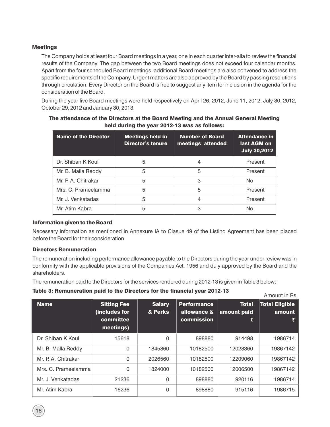#### Meetings

The Company holds at least four Board meetings in a year, one in each quarter inter-alia to review the financial results of the Company. The gap between the two Board meetings does not exceed four calendar months. Apart from the four scheduled Board meetings, additional Board meetings are also convened to address the specific requirements of the Company. Urgent matters are also approved by the Board by passing resolutions through circulation. Every Director on the Board is free to suggest any item for inclusion in the agenda for the consideration of the Board.

During the year five Board meetings were held respectively on April 26, 2012, June 11, 2012, July 30, 2012, October 29, 2012 and January 30, 2013.

| <b>Name of the Director</b> | <b>Meetings held in</b><br><b>Director's tenure</b> | <b>Number of Board</b><br>meetings attended | <b>Attendance in</b><br>last AGM on<br><b>July 30,2012</b> |
|-----------------------------|-----------------------------------------------------|---------------------------------------------|------------------------------------------------------------|
| Dr. Shiban K Koul           | 5                                                   | 4                                           | Present                                                    |
| Mr. B. Malla Reddy          | 5                                                   | 5                                           | Present                                                    |
| Mr. P. A. Chitrakar         | 5                                                   | 3                                           | N <sub>o</sub>                                             |
| Mrs. C. Prameelamma         | 5                                                   | 5                                           | Present                                                    |
| Mr. J. Venkatadas           | 5                                                   |                                             | Present                                                    |
| Mr. Atim Kabra              | 5                                                   | З                                           | Nο                                                         |

The attendance of the Directors at the Board Meeting and the Annual General Meeting held during the year 2012-13 was as follows:

#### Information given to the Board

Necessary information as mentioned in Annexure IA to Clasue 49 of the Listing Agreement has been placed before the Board for their consideration.

#### Directors Remuneration

The remuneration including performance allowance payable to the Directors during the year under review was in conformity with the applicable provisions of the Companies Act, 1956 and duly approved by the Board and the shareholders.

The remuneration paid to the Directors for the services rendered during 2012-13 is given in Table 3 below:

#### Table 3: Remuneration paid to the Directors for the financial year 2012-13

| <b>TWATER TO THE THE TABLE THAT AND A THE TABLE TABLE TABLE TA</b> |                                                               |                          |                                                 | Amount in Rs.                    |                                 |
|--------------------------------------------------------------------|---------------------------------------------------------------|--------------------------|-------------------------------------------------|----------------------------------|---------------------------------|
| <b>Name</b>                                                        | <b>Sitting Fee</b><br>(includes for<br>committee<br>meetings) | <b>Salary</b><br>& Perks | <b>Performance</b><br>allowance &<br>commission | <b>Total</b><br>amount paid<br>₹ | <b>Total Eligible</b><br>amount |
| Dr. Shiban K Koul                                                  | 15618                                                         | 0                        | 898880                                          | 914498                           | 1986714                         |
| Mr. B. Malla Reddy                                                 | $\Omega$                                                      | 1845860                  | 10182500                                        | 12028360                         | 19867142                        |
| Mr. P. A. Chitrakar                                                | $\Omega$                                                      | 2026560                  | 10182500                                        | 12209060                         | 19867142                        |
| Mrs. C. Prameelamma                                                | $\Omega$                                                      | 1824000                  | 10182500                                        | 12006500                         | 19867142                        |
| Mr. J. Venkatadas                                                  | 21236                                                         | 0                        | 898880                                          | 920116                           | 1986714                         |
| Mr. Atim Kabra                                                     | 16236                                                         | 0                        | 898880                                          | 915116                           | 1986715                         |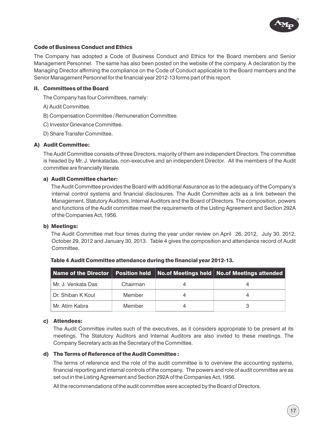

#### Code of Business Conduct and Ethics

The Company has adopted a Code of Business Conduct and Ethics for the Board members and Senior Management Personnel. The same has also been posted on the website of the company. A declaration by the Managing Director affirming the compliance on the Code of Conduct applicable to the Board members and the Senior Management Personnel for the financial year 2012-13 forms part of this report.

#### II. Committees of the Board

The Company has four Committees, namely:

A) Audit Committee.

B) Compensation Committee / Remuneration Committee.

C) Investor Grievance Committee.

D) Share Transfer Committee.

#### A) Audit Committee:

The Audit Committee consists of three Directors, majority of them are independent Directors. The committee is headed by Mr. J. Venkatadas, non-executive and an independent Director. All the members of the Audit committee are financially literate.

#### a) Audit Committee charter:

The Audit Committee provides the Board with additional Assurance as to the adequacy of the Company's internal control systems and financial disclosures. The Audit Committee acts as a link between the Management, Statutory Auditors, Internal Auditors and the Board of Directors. The composition, powers and functions of the Audit committee meet the requirements of the Listing Agreement and Section 292A of the Companies Act, 1956.

#### b) Meetings:

The Audit Committee met four times during the year under review on April 26, 2012, July 30, 2012, October 29, 2012 and January 30, 2013. Table 4 gives the composition and attendance record of Audit Committee.

|                    |          | Name of the Director   Position held   No.of Meetings held   No.of Meetings attended |
|--------------------|----------|--------------------------------------------------------------------------------------|
| Mr. J. Venkata Das | Chairman |                                                                                      |
| Dr. Shiban K Koul  | Member   |                                                                                      |
| l Mr. Atim Kabra   | Member   |                                                                                      |

#### Table 4 Audit Committee attendance during the financial year 2012-13.

#### c) Attendees:

The Audit Committee invites such of the executives, as it considers appropriate to be present at its meetings. The Statutory Auditors and Internal Auditors are also invited to these meetings. The Company Secretary acts as the Secretary of the Committee.

#### d) The Terms of Reference of the Audit Committee :

The terms of reference and the role of the audit committee is to overview the accounting systems, financial reporting and internal controls of the company. The powers and role of audit committee are as set out in the Listing Agreement and Section 292A of the Companies Act, 1956.

All the recommendations of the audit committee were accepted by the Board of Directors.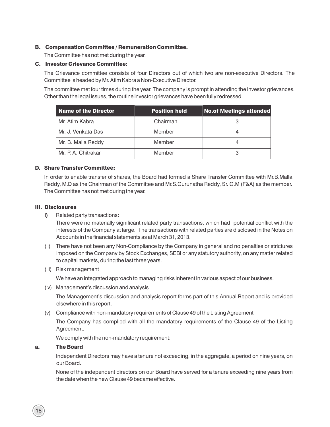#### B. Compensation Committee / Remuneration Committee.

The Committee has not met during the year.

#### C. Investor Grievance Committee:

The Grievance committee consists of four Directors out of which two are non-executive Directors. The Committee is headed by Mr. Atim Kabra a Non-Executive Director.

The committee met four times during the year. The company is prompt in attending the investor grievances. Other than the legal issues, the routine investor grievances have been fully redressed.

| <b>Name of the Director</b> | <b>Position held</b> | <b>No.of Meetings attended</b> |
|-----------------------------|----------------------|--------------------------------|
| Mr. Atim Kabra              | Chairman             |                                |
| Mr. J. Venkata Das          | Member               |                                |
| Mr. B. Malla Reddy          | Member               |                                |
| Mr. P. A. Chitrakar         | Member               |                                |

#### D. Share Transfer Committee:

In order to enable transfer of shares, the Board had formed a Share Transfer Committee with Mr.B.Malla Reddy, M.D as the Chairman of the Committee and Mr.S.Gurunatha Reddy, Sr. G.M (F&A) as the member. The Committee has not met during the year.

#### III. Disclosures

**i)** Related party transactions:

There were no materially significant related party transactions, which had potential conflict with the interests of the Company at large. The transactions with related parties are disclosed in the Notes on Accounts in the financial statements as at March 31, 2013.

- (ii) There have not been any Non-Compliance by the Company in general and no penalties or strictures imposed on the Company by Stock Exchanges, SEBI or any statutory authority, on any matter related to capital markets, during the last three years.
- (iii) Risk management

We have an integrated approach to managing risks inherent in various aspect of our business.

(iv) Management's discussion and analysis

The Management's discussion and analysis report forms part of this Annual Report and is provided elsewhere in this report.

(v) Compliance with non-mandatory requirements of Clause 49 of the Listing Agreement

The Company has complied with all the mandatory requirements of the Clause 49 of the Listing Agreement.

We comply with the non-mandatory requirement:

#### a. The Board

Independent Directors may have a tenure not exceeding, in the aggregate, a period on nine years, on our Board.

None of the independent directors on our Board have served for a tenure exceeding nine years from the date when the new Clause 49 became effective.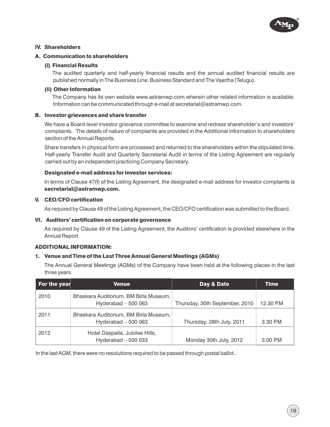

#### IV. Shareholders

#### A. Communication to shareholders

#### (i) Financial Results

The audited quarterly and half-yearly financial results and the annual audited financial results are published normally in The Business Line, Business Standard and The Vaartha (Telugu).

#### (ii) Other Information

The Company has its own website www.astramwp.com wherein other related information is available. Information can be communicated through e-mail at secretarial@astramwp.com.

#### B. Investor grievances and share transfer

We have a Board-level investor grievance committee to examine and redress shareholder's and investors' complaints. The details of nature of complaints are provided in the Additional information to shareholders section of the Annual Reports.

Share transfers in physical form are processed and returned to the shareholders within the stipulated time. Half-yearly Transfer Audit and Quarterly Secretarial Audit in terms of the Listing Agreement are regularly carried out by an independent practicing Company Secretary.

#### Designated e-mail address for investor services:

In terms of Clause 47(f) of the Listing Agreement, the designated e-mail address for investor complaints is secretarial@astramwp.com.

#### V. CEO/CFO certification

As required by Clause 49 of the Listing Agreement, the CEO/CFO certification was submitted to the Board.

#### VI. Auditors' certification on corporate governance

As required by Clause 49 of the Listing Agreement, the Auditors' certification is provided elsewhere in the Annual Report.

#### ADDITIONAL INFORMATION:

#### 1. Venue and Time of the Last Three Annual General Meetings (AGMs)

The Annual General Meetings (AGMs) of the Company have been held at the following places in the last three years.

| For the year | Venue                                                        | Day & Date                     | Time      |
|--------------|--------------------------------------------------------------|--------------------------------|-----------|
| 2010         | Bhaskara Auditorium, BM Birla Museum,<br>Hyderabad $-500063$ | Thursday, 30th September, 2010 | 12.30 P.M |
| 2011         | Bhaskara Auditorium, BM Birla Museum,<br>Hyderabad $-500063$ | Thursday, 28th July, 2011      | 3.30 P.M  |
| 2012         | Hotel Daspalla, Jubilee Hills,<br>Hyderabad $-500033$        | Monday 30th July, 2012         | 3.00 P.M  |

In the last AGM, there were no resolutions required to be passed through postal ballot..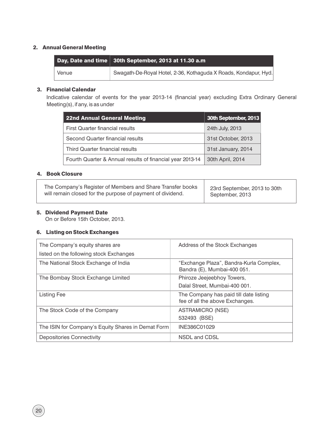#### 2. Annual General Meeting

|       | Day, Date and time   30th September, 2013 at 11.30 a.m          |
|-------|-----------------------------------------------------------------|
| Venue | Swagath-De-Royal Hotel, 2-36, Kothaguda X Roads, Kondapur, Hyd. |

#### 3. Financial Calendar

Indicative calendar of events for the year 2013-14 (financial year) excluding Extra Ordinary General Meeting(s), if any, is as under

| 22nd Annual General Meeting                               | 30th September, 2013 |
|-----------------------------------------------------------|----------------------|
| <b>First Quarter financial results</b>                    | 24th July, 2013      |
| Second Quarter financial results                          | 31st October, 2013   |
| Third Quarter financial results                           | 31st January, 2014   |
| Fourth Quarter & Annual results of financial year 2013-14 | 30th April, 2014     |

#### 4. Book Closure

| The Company's Register of Members and Share Transfer books | 23rd September, 2013 to 30th |
|------------------------------------------------------------|------------------------------|
| will remain closed for the purpose of payment of dividend. | September, 2013              |

#### 5. Dividend Payment Date

On or Before 15th October, 2013.

#### 6. Listing on Stock Exchanges

| The Company's equity shares are<br>listed on the following stock Exchanges | Address of the Stock Exchanges                                            |
|----------------------------------------------------------------------------|---------------------------------------------------------------------------|
| The National Stock Exchange of India                                       | "Exchange Plaza", Bandra-Kurla Complex,<br>Bandra (E), Mumbai-400 051.    |
| The Bombay Stock Exchange Limited                                          | Phiroze Jeejeebhoy Towers,<br>Dalal Street, Mumbai-400 001.               |
| Listing Fee                                                                | The Company has paid till date listing<br>fee of all the above Exchanges. |
| The Stock Code of the Company                                              | ASTRAMICRO (NSE)<br>532493 (BSE)                                          |
| The ISIN for Company's Equity Shares in Demat Form                         | INE386C01029                                                              |
| <b>Depositories Connectivity</b>                                           | NSDL and CDSL                                                             |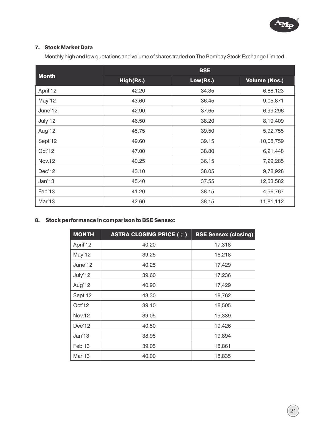

#### 7. Stock Market Data

Monthly high and low quotations and volume of shares traded on The Bombay Stock Exchange Limited.

|                | <b>BSE</b> |          |                      |  |
|----------------|------------|----------|----------------------|--|
| <b>Month</b>   | High(Rs.)  | Low(Rs.) | <b>Volume (Nos.)</b> |  |
| April'12       | 42.20      | 34.35    | 6,88,123             |  |
| May'12         | 43.60      | 36.45    | 9,05,871             |  |
| June'12        | 42.90      | 37.65    | 6,99,296             |  |
| July'12        | 46.50      | 38.20    | 8,19,409             |  |
| Aug'12         | 45.75      | 39.50    | 5,92,755             |  |
| Sept'12        | 49.60      | 39.15    | 10,08,759            |  |
| Oct'12         | 47.00      | 38.80    | 6,21,448             |  |
| <b>Nov, 12</b> | 40.25      | 36.15    | 7,29,285             |  |
| Dec'12         | 43.10      | 38.05    | 9,78,928             |  |
| Jan'13         | 45.40      | 37.55    | 12,53,582            |  |
| Feb'13         | 41.20      | 38.15    | 4,56,767             |  |
| Mar'13         | 42.60      | 38.15    | 11,81,112            |  |

## 8. Stock performance in comparison to BSE Sensex:

| <b>MONTH</b> | <b>ASTRA CLOSING PRICE (<math>\bar{z}</math>)</b> | <b>BSE Sensex (closing)</b> |
|--------------|---------------------------------------------------|-----------------------------|
| April'12     | 40.20                                             | 17,318                      |
| May'12       | 39.25                                             | 16,218                      |
| June'12      | 40.25                                             | 17,429                      |
| July'12      | 39.60                                             | 17,236                      |
| Aug'12       | 40.90                                             | 17,429                      |
| Sept'12      | 43.30                                             | 18,762                      |
| Oct'12       | 39.10                                             | 18,505                      |
| Nov, 12      | 39.05                                             | 19,339                      |
| Dec'12       | 40.50                                             | 19,426                      |
| Jan'13       | 38.95                                             | 19,894                      |
| Feb'13       | 39.05                                             | 18,861                      |
| Mar'13       | 40.00                                             | 18,835                      |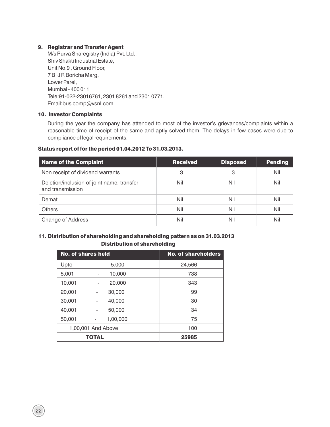#### 9. Registrar and Transfer Agent

M/s Purva Sharegistry (India) Pvt. Ltd., Shiv Shakti Industrial Estate, Unit No.9 , Ground Floor, 7 B J R Boricha Marg, Lower Parel, Mumbai - 400 011 Tele:91-022-23016761, 2301 8261 and 2301 0771. Email:busicomp@vsnl.com

#### 10. Investor Complaints

During the year the company has attended to most of the investor's grievances/complaints within a reasonable time of receipt of the same and aptly solved them. The delays in few cases were due to compliance of legal requirements.

#### Status report of for the period 01.04.2012 To 31.03.2013.

| <b>Name of the Complaint</b>                                   | <b>Received</b> | <b>Disposed</b> | <b>Pending</b> |
|----------------------------------------------------------------|-----------------|-----------------|----------------|
| Non receipt of dividend warrants                               | 3               | 3               | Nil            |
| Deletion/inclusion of joint name, transfer<br>and transmission | Nil             | Nil             | Nil            |
| Demat                                                          | Nil             | Nil             | Nil            |
| Others                                                         | Nil             | Nil             | Nil            |
| <b>Change of Address</b>                                       | Nil             | Nil             | Nil            |

#### 11. Distribution of shareholding and shareholding pattern as on 31.03.2013 Distribution of shareholding

| <b>No. of shares held</b> |                    | <b>No. of shareholders</b> |
|---------------------------|--------------------|----------------------------|
| Upto                      | 5,000              | 24,566                     |
| 5,001                     | 10,000             | 738                        |
| 10,001                    | 20,000<br>-        | 343                        |
| 20,001                    | 30,000             | 99                         |
| 30,001                    | 40,000             | 30                         |
| 40,001                    | 50,000             | 34                         |
| 50,001                    | 1,00,000           | 75                         |
|                           | 1,00,001 And Above | 100                        |
|                           | <b>TOTAL</b>       | 25985                      |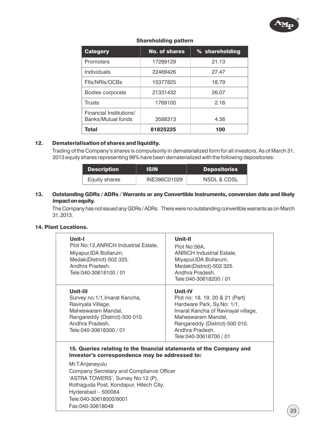

| <b>Category</b>                               | <b>No. of shares</b> | % shareholding |  |
|-----------------------------------------------|----------------------|----------------|--|
| Promoters                                     | 17289129             | 21.13          |  |
| Individuals                                   | 22469426             | 27.47          |  |
| FIIs/NRIs/OCBs                                | 15377825             | 18.79          |  |
| Bodies corporate                              | 21331432             | 26.07          |  |
| Trusts                                        | 1769100              | 2.16           |  |
| Financial Institutions/<br>Banks/Mutual funds | 3588313              | 4.38           |  |
| <b>Total</b>                                  | 81825225             | 100            |  |

#### Shareholding pattern

#### 12. Dematerialisation of shares and liquidity.

Trading of the Company's shares is compulsorily in dematerialized form for all investors. As of March 31, 2013 equity shares representing 98% have been dematerialized with the following depositories:

| <b>Description</b> | <b>ISIN</b>  | <b>Depositories</b>    |  |
|--------------------|--------------|------------------------|--|
| Equity shares      | INE386C01029 | <b>NSDL &amp; CDSL</b> |  |

#### 13. Outstanding GDRs / ADRs / Warrants or any Convertible Instruments, conversion date and likely impactonequity.

The Company has not issued any GDRs / ADRs. There were no outstanding convertible warrants as on March 31,2013.

#### 14. Plant Locations.

| Unit-I<br>Plot No:12, ANRICH Industrial Estate,<br>Miyapur, IDA Bollarum,<br>Medak(District)-502 325.<br>Andhra Pradesh.<br>Tele:040-30618100 / 01                                                                                                                                                                                       | Unit-II<br>Plot No:56A,<br><b>ANRICH Industrial Estate,</b><br>Miyapur, IDA Bollarum,<br>Medak (District)-502 325.<br>Andhra Pradesh.<br>Tele:040-30618200 / 01                                                              |
|------------------------------------------------------------------------------------------------------------------------------------------------------------------------------------------------------------------------------------------------------------------------------------------------------------------------------------------|------------------------------------------------------------------------------------------------------------------------------------------------------------------------------------------------------------------------------|
| Unit-III<br>Survey no:1/1, Imarat Kancha,<br>Raviryala Village,<br>Maheswaram Mandal,<br>Rangareddy (District)-500 010.<br>Andhra Pradesh.<br>Tele:040-30618300 / 01                                                                                                                                                                     | <b>Unit-IV</b><br>Plot no: 18, 19, 20 & 21 (Part)<br>Hardware Park, Sy.No: 1/1,<br>Imarat Kancha of Ravirayal village,<br>Maheswaram Mandal,<br>Rangareddy (District)-500 010.<br>Andhra Pradesh.<br>Tele: 040-30618700 / 01 |
| 15. Queries relating to the financial statements of the Company and<br>Investor's correspondence may be addressed to:<br>Mr.T.Anjaneyulu<br>Company Secretary and Compliance Officer<br>'ASTRA TOWERS', Survey No:12 (P),<br>Kothaguda Post, Kondapur, Hitech City,<br>Hyderabad - 500084.<br>Tele:040-30618000/8001<br>Fax:040-30618048 |                                                                                                                                                                                                                              |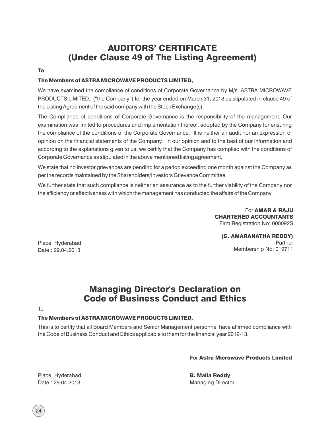# AUDITORS' CERTIFICATE (Under Clause 49 of The Listing Agreement)

#### To

#### The Members of ASTRA MICROWAVE PRODUCTS LIMITED,

We have examined the compliance of conditions of Corporate Governance by M/s. ASTRA MICROWAVE PRODUCTS LIMITED., ("the Company") for the year ended on March 31, 2013 as stipulated in clause 49 of the Listing Agreement of the said company with the Stock Exchange(s).

The Compliance of conditions of Corporate Governance is the responsibility of the management. Our examination was limited to procedures and implementation thereof, adopted by the Company for ensuring the compliance of the conditions of the Corporate Governance. It is neither an audit nor an expression of opinion on the financial statements of the Company. In our opinion and to the best of our information and according to the explanations given to us, we certify that the Company has complied with the conditions of Corporate Governance as stipulated in the above mentioned listing agreement.

We state that no investor grievances are pending for a period exceeding one month against the Company as per the records maintained by the Shareholders/Investors Grievance Committee.

We further state that such compliance is neither an assurance as to the further viability of the Company nor the efficiency or effectiveness with which the management has conducted the affairs of the Company.

> For AMAR & RAJU CHARTERED ACCOUNTANTS Firm Registration No: 000092S

(G. AMARANATHA REDDY) Partner Membership No: 019711

Place: Hyderabad. Date : 29.04.2013

# Managing Director's Declaration on Code of Business Conduct and Ethics

To

## The Members of ASTRA MICROWAVE PRODUCTS LIMITED,

This is to certify that all Board Members and Senior Management personnel have affirmed compliance with the Code of Business Conduct and Ethics applicable to them for the financial year 2012-13.

For Astra Microwave Products Limited

B. Malla Reddy Managing Director

Place: Hyderabad. Date : 29.04.2013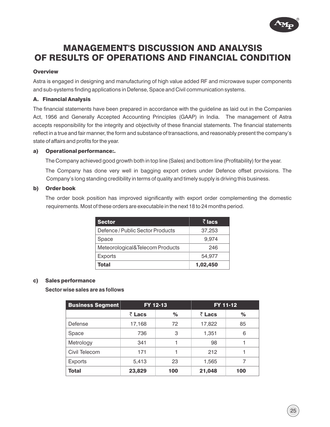

# MANAGEMENT'S DISCUSSION AND ANALYSIS OF RESULTS OF OPERATIONS AND FINANCIAL CONDITION

#### **Overview**

Astra is engaged in designing and manufacturing of high value added RF and microwave super components and sub-systems finding applications in Defense, Space and Civil communication systems.

#### A. Financial Analysis

The financial statements have been prepared in accordance with the guideline as laid out in the Companies Act, 1956 and Generally Accepted Accounting Principles (GAAP) in India. The management of Astra accepts responsibility for the integrity and objectivity of these financial statements. The financial statements reflect in a true and fair manner, the form and substance of transactions, and reasonably present the company's state of affairs and profits for the year.

#### a) Operational performance:.

The Company achieved good growth both in top line (Sales) and bottom line (Profitability) for the year.

The Company has done very well in bagging export orders under Defence offset provisions. The Company's long standing credibility in terms of quality and timely supply is driving this business.

#### b) Order book

The order book position has improved significantly with export order complementing the domestic requirements. Most of these orders are executable in the next 18 to 24 months period.

| <b>Sector</b>                    | ₹ lacs   |
|----------------------------------|----------|
| Defence / Public Sector Products | 37,253   |
| Space                            | 9.974    |
| Meteorological&Telecom Products  | 246      |
| <b>Exports</b>                   | 54.977   |
| Total                            | 1,02,450 |

#### c) Sales performance

#### **Sector wise sales are as follows**

| <b>Business Segment</b> | FY 12-13 |     |        | FY 11-12 |
|-------------------------|----------|-----|--------|----------|
|                         | ₹ Lacs   | ℅   | ₹ Lacs | %        |
| Defense                 | 17,168   | 72  | 17,822 | 85       |
| Space                   | 736      | 3   | 1,351  | 6        |
| Metrology               | 341      |     | 98     |          |
| Civil Telecom           | 171      |     | 212    |          |
| <b>Exports</b>          | 5,413    | 23  | 1,565  |          |
| <b>Total</b>            | 23,829   | 100 | 21,048 | 100      |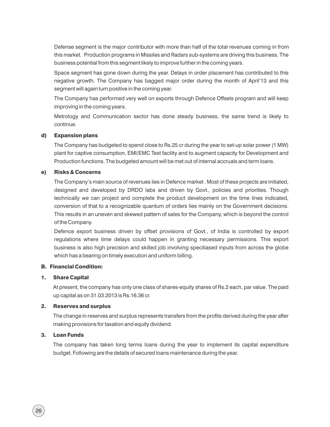this market. Production programs in Missiles and Radars sub-systems are driving this business. The business potential from this segment likely to improve further in the coming years. Defense segment is the major contributor with more than half of the total revenues coming in from

Space segment has gone down during the year. Delays in order placement has contributed to this negative growth. The Company has bagged major order during the month of April'13 and this segment will again turn positive in the coming year.

The Company has performed very well on exports through Defence Offsets program and will keep improving in the coming years.

Metrology and Communication sector has done steady business, the same trend is likely to continue.

#### d) Expansion plans

The Company has budgeted to spend close to Rs.25 cr during the year to set-up solar power (1 MW) plant for captive consumption, EMI/EMC Test facility and to augment capacity for Development and Production functions. The budgeted amount will be met out of internal accruals and term loans.

#### e) Risks & Concerns

The Company's main source of revenues lies in Defence market . Most of these projects are initiated, designed and developed by DRDO labs and driven by Govt., policies and priorities. Though technically we can project and complete the product development on the time lines indicated, conversion of that to a recognizable quantum of orders lies mainly on the Government decisions. This results in an uneven and skewed pattern of sales for the Company, which is beyond the control of the Company.

Defence export business driven by offset provisions of Govt., of India is controlled by export regulations where time delays could happen in granting necessary permissions. This export business is also high precision and skilled job involving speciliased inputs from across the globe which has a bearing on timely execution and uniform billing.

#### B. Financial Condition:

#### 1. Share Capital

At present, the company has only one class of shares-equity shares of Rs.2 each, par value. The paid up capital as on 31.03.2013 is Rs.16.36 cr.

#### 2. Reserves and surplus

The change in reserves and surplus represents transfers from the profits derived during the year after making provisions for taxation and equity dividend.

#### 3. Loan Funds

The company has taken long terms loans during the year to implement its capital expenditure budget. Following are the details of secured loans maintenance during the year.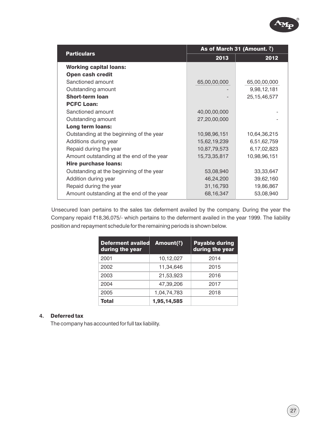|                                           |              | As of March 31 (Amount. $\bar{z}$ ) |  |  |  |
|-------------------------------------------|--------------|-------------------------------------|--|--|--|
| <b>Particulars</b>                        | 2013         | 2012                                |  |  |  |
| <b>Working capital loans:</b>             |              |                                     |  |  |  |
| <b>Open cash credit</b>                   |              |                                     |  |  |  |
| Sanctioned amount                         | 65,00,00,000 | 65,00,00,000                        |  |  |  |
| Outstanding amount                        |              | 9,98,12,181                         |  |  |  |
| <b>Short-term loan</b>                    |              | 25, 15, 46, 577                     |  |  |  |
| <b>PCFC Loan:</b>                         |              |                                     |  |  |  |
| Sanctioned amount                         | 40,00,00,000 |                                     |  |  |  |
| Outstanding amount                        | 27,20,00,000 |                                     |  |  |  |
| Long term loans:                          |              |                                     |  |  |  |
| Outstanding at the beginning of the year  | 10,98,96,151 | 10,64,36,215                        |  |  |  |
| Additions during year                     | 15,62,19,239 | 6,51,62,759                         |  |  |  |
| Repaid during the year                    | 10,87,79,573 | 6,17,02,823                         |  |  |  |
| Amount outstanding at the end of the year | 15,73,35,817 | 10,98,96,151                        |  |  |  |
| <b>Hire purchase loans:</b>               |              |                                     |  |  |  |
| Outstanding at the beginning of the year  | 53,08,940    | 33, 33, 647                         |  |  |  |
| Addition during year                      | 46,24,200    | 39,62,160                           |  |  |  |
| Repaid during the year                    | 31, 16, 793  | 19,86,867                           |  |  |  |
| Amount outstanding at the end of the year | 68,16,347    | 53,08,940                           |  |  |  |

Unsecured loan pertains to the sales tax deferment availed by the company. During the year the Company repaid ₹18,36,075/- which pertains to the deferment availed in the year 1999. The liability position and repayment schedule for the remaining periods is shown below.

| <b>Deferment availed</b><br>during the year | Amount(₹)   | <b>Payable during</b><br>during the year |  |
|---------------------------------------------|-------------|------------------------------------------|--|
| 2001                                        | 10,12,027   | 2014                                     |  |
| 2002                                        | 11,34,646   | 2015                                     |  |
| 2003                                        | 21,53,923   | 2016                                     |  |
| 2004                                        | 47,39,206   | 2017                                     |  |
| 2005                                        | 1,04,74,783 | 2018                                     |  |
| <b>Total</b>                                | 1,95,14,585 |                                          |  |

#### **4.** Deferred tax

The company has accounted for full tax liability.

R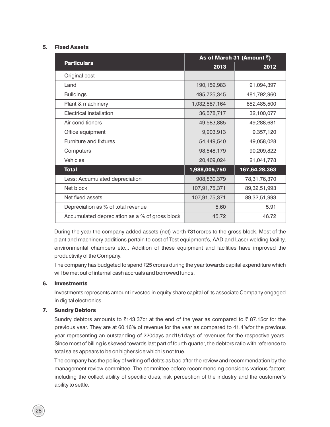#### 5. Fixed Assets

|                                                | As of March 31 (Amount $\bar{z}$ ) |                 |  |
|------------------------------------------------|------------------------------------|-----------------|--|
| <b>Particulars</b>                             | 2013                               | 2012            |  |
| Original cost                                  |                                    |                 |  |
| Land                                           | 190,159,983                        | 91,094,397      |  |
| <b>Buildings</b>                               | 495,725,345                        | 481,792,960     |  |
| Plant & machinery                              | 1,032,587,164                      | 852,485,500     |  |
| Electrical installation                        | 36,578,717                         | 32,100,077      |  |
| Air conditioners                               | 49,583,885                         | 49,288,681      |  |
| Office equipment                               | 9,903,913                          | 9,357,120       |  |
| Furniture and fixtures                         | 54,449,540                         | 49,058,028      |  |
| Computers                                      | 98,548,179                         | 90,209,822      |  |
| <b>Vehicles</b>                                | 20,469,024                         | 21,041,778      |  |
| <b>Total</b>                                   | 1,988,005,750                      | 167,64,28,363   |  |
| Less: Accumulated depreciation                 | 908,830,379                        | 78,31,76,370    |  |
| Net block                                      | 107,91,75,371                      | 89, 32, 51, 993 |  |
| Net fixed assets                               | 107,91,75,371                      | 89, 32, 51, 993 |  |
| Depreciation as % of total revenue             | 5.60                               | 5.91            |  |
| Accumulated depreciation as a % of gross block | 45.72                              | 46.72           |  |

During the year the company added assets (net) worth  $\overline{3}31$  crores to the gross block. Most of the plant and machinery additions pertain to cost of Test equipment's, AAD and Laser welding facility, environmental chambers etc.,. Addition of these equipment and facilities have improved the productivity of the Company.

The company has budgeted to spend  $\overline{2}25$  crores during the year towards capital expenditure which will be met out of internal cash accruals and borrowed funds.

#### 6. Investments

Investments represents amount invested in equity share capital of its associate Company engaged in digital electronics.

#### 7. Sundry Debtors

Sundry debtors amounts to  $\bar{\zeta}$ 143.37cr at the end of the year as compared to  $\bar{\zeta}$  87.15cr for the previous year. They are at 60.16% of revenue for the year as compared to 41.4%for the previous year representing an outstanding of 220days and151days of revenues for the respective years. Since most of billing is skewed towards last part of fourth quarter, the debtors ratio with reference to total sales appears to be on higher side which is not true.

The company has the policy of writing off debts as bad after the review and recommendation by the management review committee. The committee before recommending considers various factors including the collect ability of specific dues, risk perception of the industry and the customer's ability to settle.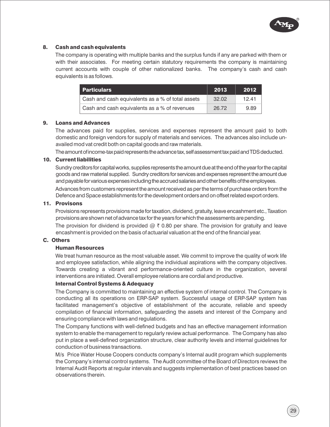

#### 8. Cash and cash equivalents

The company is operating with multiple banks and the surplus funds if any are parked with them or with their associates. For meeting certain statutory requirements the company is maintaining current accounts with couple of other nationalized banks. The company's cash and cash equivalents is as follows.

| <b>Particulars</b>                               | 2013  | 2012  |
|--------------------------------------------------|-------|-------|
| Cash and cash equivalents as a % of total assets | 32.02 | 12.41 |
| Cash and cash equivalents as a % of revenues     | 26.72 | 989   |

#### 9. Loans and Advances

The advances paid for supplies, services and expenses represent the amount paid to both domestic and foreign vendors for supply of materials and services. The advances also include unavailed mod vat credit both on capital goods and raw materials.

The amount of income-tax paid represents the advance tax, self assessment tax paid and TDS deducted.

#### 10. Current liabilities

Sundry creditors for capital works, supplies represents the amount due at the end of the year for the capital goods and raw material supplied. Sundry creditors for services and expenses represent the amount due and payable for various expenses including the accrued salaries and other benefits of the employees. Advances from customers represent the amount received as per the terms of purchase orders from the Defence and Space establishments for the development orders and on offset related export orders.

#### 11. Provisons

Provisions represents provisions made for taxation, dividend, gratuity, leave encashment etc., Taxation provisions are shown net of advance tax for the years for which the assessments are pending.

The provision for dividend is provided  $@ \bar{ } 0.80$  per share. The provision for gratuity and leave encashment is provided on the basis of actuarial valuation at the end of the financial year.

#### C. Others

#### Human Resources

We treat human resource as the most valuable asset. We commit to improve the quality of work life and employee satisfaction, while aligning the individual aspirations with the company objectives. Towards creating a vibrant and performance-oriented culture in the organization, several interventions are initiated. Overall employee relations are cordial and productive.

#### Internal Control Systems & Adequacy

The Company is committed to maintaining an effective system of internal control. The Company is conducting all its operations on ERP-SAP system. Successful usage of ERP-SAP system has facilitated management's objective of establishment of the accurate, reliable and speedy compilation of financial information, safeguarding the assets and interest of the Company and ensuring compliance with laws and regulations.

The Company functions with well-defined budgets and has an effective management information system to enable the management to regularly review actual performance. The Company has also put in place a well-defined organization structure, clear authority levels and internal guidelines for conduction of business transactions.

M/s Price Water House Coopers conducts company's Internal audit program which supplements the Company's internal control systems. The Audit committee of the Board of Directors reviews the Internal Audit Reports at regular intervals and suggests implementation of best practices based on observations therein.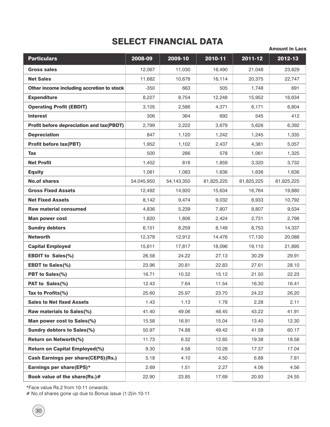# SELECT FINANCIAL DATA

Amount in Lacs

| <b>Particulars</b>                               | 2008-09    | 2009-10    | 2010-11    | 2011-12    | $2012 - 13$ |
|--------------------------------------------------|------------|------------|------------|------------|-------------|
| <b>Gross sales</b>                               | 12,067     | 11,030     | 16,490     | 21,048     | 23,829      |
| <b>Net Sales</b>                                 | 11,682     | 10,678     | 16,114     | 20,375     | 22,747      |
| Other income including accretion to stock        | $-350$     | 663        | 505        | 1,748      | 691         |
| <b>Expenditure</b>                               | 8,227      | 8,754      | 12,248     | 15,952     | 16,634      |
| <b>Operating Profit (EBDIT)</b>                  | 3,105      | 2,586      | 4,371      | 6,171      | 6,804       |
| <b>Interest</b>                                  | 306        | 364        | 692        | 545        | 412         |
| <b>Profit before depreciation and tax (PBDT)</b> | 2,799      | 2,222      | 3,679      | 5,626      | 6,392       |
| <b>Depreciation</b>                              | 847        | 1,120      | 1,242      | 1,245      | 1,335       |
| <b>Profit before tax(PBT)</b>                    | 1,952      | 1,102      | 2,437      | 4,381      | 5,057       |
| Tax                                              | 500        | 286        | 578        | 1,061      | 1,325       |
| <b>Net Profit</b>                                | 1,452      | 816        | 1,859      | 3,320      | 3,732       |
| <b>Equity</b>                                    | 1,081      | 1,083      | 1,636      | 1,636      | 1,636       |
| <b>No.of shares</b>                              | 54,045,950 | 54,143,350 | 81,825,225 | 81,825,225 | 81,825,225  |
| <b>Gross Fixed Assets</b>                        | 12,492     | 14,920     | 15,634     | 16,764     | 19,880      |
| <b>Net Fixed Assets</b>                          | 8,142      | 9,474      | 9,032      | 8,933      | 10,792      |
| <b>Raw material consumed</b>                     | 4,836      | 5,239      | 7,807      | 8,807      | 9,534       |
| <b>Man power cost</b>                            | 1,820      | 1,806      | 2,424      | 2,731      | 2,798       |
| <b>Sundry debtors</b>                            | 6,151      | 8,259      | 8,149      | 8,753      | 14,337      |
| <b>Networth</b>                                  | 12,378     | 12,912     | 14,476     | 17,130     | 20,088      |
| <b>Capital Employed</b>                          | 15,611     | 17,817     | 18,096     | 19,110     | 21,895      |
| <b>EBDIT to Sales(%)</b>                         | 26.58      | 24.22      | 27.13      | 30.29      | 29.91       |
| <b>EBDT to Sales(%)</b>                          | 23.96      | 20.81      | 22.83      | 27.61      | 28.10       |
| PBT to Sales(%)                                  | 16.71      | 10.32      | 15.12      | 21.50      | 22.23       |
| PAT to Sales(%)                                  | 12.43      | 7.64       | 11.54      | 16.30      | 16.41       |
| Tax to Profits(%)                                | 25.60      | 25.97      | 23.70      | 24.22      | 26.20       |
| <b>Sales to Net fixed Assets</b>                 | 1.43       | 1.13       | 1.78       | 2.28       | 2.11        |
| Raw materials to Sales(%)                        | 41.40      | 49.06      | 48.45      | 43.22      | 41.91       |
| Man power cost to Sales(%)                       | 15.58      | 16.91      | 15.04      | 13.40      | 12.30       |
| <b>Sundry debtors to Sales(%)</b>                | 50.97      | 74.88      | 49.42      | 41.59      | 60.17       |
| <b>Return on Networth(%)</b>                     | 11.73      | 6.32       | 12.85      | 19.38      | 18.58       |
| <b>Return on Capital Employed(%)</b>             | 9.30       | 4.58       | 10.28      | 17.37      | 17.04       |
| <b>Cash Earnings per share(CEPS)(Rs.)</b>        | 5.18       | 4.10       | 4.50       | 6.88       | 7.81        |
| Earnings per share(EPS)*                         | 2.69       | 1.51       | 2.27       | 4.06       | 4.56        |
| Book value of the share(Rs.)#                    | 22.90      | 23.85      | 17.69      | 20.93      | 24.55       |

\*Face value Rs.2 from 10-11 onwards.

# No.of shares gone up due to Bonus issue (1:2)in 10-11

30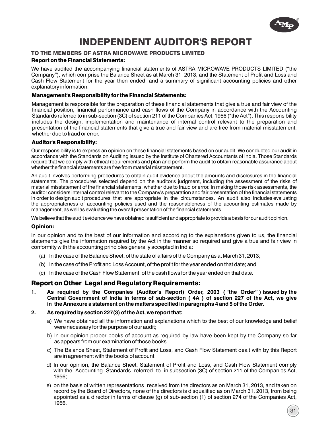

# INDEPENDENT AUDITOR'S REPORT

#### TO THE MEMBERS OF ASTRA MICROWAVE PRODUCTS LIMITED

#### Report on the Financial Statements:

We have audited the accompanying financial statements of ASTRA MICROWAVE PRODUCTS LIMITED ("the Company"), which comprise the Balance Sheet as at March 31, 2013, and the Statement of Profit and Loss and Cash Flow Statement for the year then ended, and a summary of significant accounting policies and other explanatory information.

#### Management's Responsibility for the Financial Statements:

Management is responsible for the preparation of these financial statements that give a true and fair view of the financial position, financial performance and cash flows of the Company in accordance with the Accounting Standards referred to in sub-section (3C) of section 211 of the Companies Act, 1956 ("the Act"). This responsibility includes the design, implementation and maintenance of internal control relevant to the preparation and presentation of the financial statements that give a true and fair view and are free from material misstatement, whether due to fraud or error.

#### Auditor's Responsibility:

Our responsibility is to express an opinion on these financial statements based on our audit. We conducted our audit in accordance with the Standards on Auditing issued by the Institute of Chartered Accountants of India. Those Standards require that we comply with ethical requirements and plan and perform the audit to obtain reasonable assurance about whether the financial statements are free from material misstatement.

An audit involves performing procedures to obtain audit evidence about the amounts and disclosures in the financial statements. The procedures selected depend on the auditor's judgment, including the assessment of the risks of material misstatement of the financial statements, whether due to fraud or error. In making those risk assessments, the auditor considers internal control relevant to the Company's preparation and fair presentation of the financial statements in order to design audit procedures that are appropriate in the circumstances. An audit also includes evaluating the appropriateness of accounting policies used and the reasonableness of the accounting estimates made by management, as well as evaluating the overall presentation of the financial statements.

We believe that the audit evidence we have obtained is sufficient and appropriate to provide a basis for our audit opinion.

#### Opinion:

In our opinion and to the best of our information and according to the explanations given to us, the financial statements give the information required by the Act in the manner so required and give a true and fair view in conformity with the accounting principles generally accepted in India:

- (a) In the case of the Balance Sheet, of the state of affairs of the Company as at March 31, 2013;
- (b) In the case of the Profit and Loss Account, of the profit for the year ended on that date; and
- (c) In the case of the Cash Flow Statement, of the cash flows for the year ended on that date.

#### Report on Other Legal and Regulatory Requirements:

- **1. As required by the Companies (Auditor's Report) Order, 2003 ( "the Order" ) issued by the Central Government of India in terms of sub-section ( 4A ) of section 227 of the Act, we give in the Annexure a statement on the matters specified in paragraphs 4 and 5 of the Order.**
- **2. As required by section 227(3) of the Act, we report that:**
	- a) We have obtained all the information and explanations which to the best of our knowledge and belief were necessary for the purpose of our audit;
	- b) In our opinion proper books of account as required by law have been kept by the Company so far as appears from our examination of those books
	- c) The Balance Sheet, Statement of Profit and Loss, and Cash Flow Statement dealt with by this Report are in agreement with the books of account
	- d) In our opinion, the Balance Sheet, Statement of Profit and Loss, and Cash Flow Statement comply with the Accounting Standards referred to in subsection (3C) of section 211 of the Companies Act, 1956;
	- e) on the basis of written representations received from the directors as on March 31, 2013, and taken on record by the Board of Directors, none of the directors is disqualified as on March 31, 2013, from being appointed as a director in terms of clause (g) of sub-section (1) of section 274 of the Companies Act, 1956.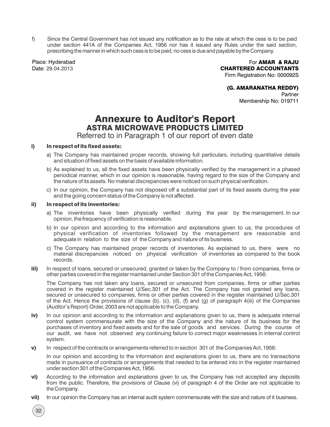f) Since the Central Government has not issued any notification as to the rate at which the cess is to be paid under section 441A of the Companies Act, 1956 nor has it issued any Rules under the said section, prescribing the manner in which such cess is to be paid, no cess is due and payable by the Company.

Place: Hyderabad Date: 29.04.2013

For AMAR & RAJU CHARTERED ACCOUNTANTS Firm Registration No: 000092S

#### (G. AMARANATHA REDDY)

Partner Membership No: 019711

# Annexure to Auditor's Report ASTRA MICROWAVE PRODUCTS LIMITED

Referred to in Paragraph 1 of our report of even date

#### i) In respect of its fixed assets:

- a) The Company has maintained proper records, showing full particulars, including quantitative details and situation of fixed assets on the basis of available information.
- b) As explained to us, all the fixed assets have been physically verified by the management in a phased periodical manner, which in our opinion is reasonable, having regard to the size of the Company and the nature of its assets. No material discrepancies were noticed on such physical verification.
- c) In our opinion, the Company has not disposed off a substantial part of its fixed assets during the year and the going concern status of the Company is not affected.

#### ii) In respect of its inventories:

32

- a) The inventories have been physically verified during the year by the management. In our opinion, the frequency of verification is reasonable.
- b) In our opinion and according to the information and explanations given to us, the procedures of physical verification of inventories followed by the management are reasonable and adequate in relation to the size of the Company and nature of its business.
- c) The Company has maintained proper records of inventories. As explained to us, there were no material discrepancies noticed on physical verification of inventories as compared to the book records.
- iii) In respect of loans, secured or unsecured, granted or taken by the Company to / from companies, firms or other parties covered in the register maintained under Section 301 of the Companies Act, 1956:

The Company has not taken any loans, secured or unsecured from companies, firms or other parties covered in the register maintained U/Sec.301 of the Act. The Company has not granted any loans, secured or unsecured to companies, firms or other parties covered in the register maintained U/Sec.301 of the Act. Hence the provisions of clause (b), (c), (d), (f) and (g) of paragraph 4(iii) of the Companies (Auditor's Report) Order, 2003 are not applicable to the Company.

- iv) In our opinion and according to the information and explanations given to us, there is adequate internal control system commensurate with the size of the Company and the nature of its business for the purchases of inventory and fixed assets and for the sale of goods and services. During the course of our audit, we have not observed any continuing failure to correct major weaknesses in internal control system.
- v) In respect of the contracts or arrangements referred to in section 301 of the Companies Act, 1956:

In our opinion and according to the information and explanations given to us, there are no transactions made in pursuance of contracts or arrangements that needed to be entered into in the register maintained under section 301 of the Companies Act, 1956.

- vi) According to the information and explanations given to us, the Company has not accepted any deposits from the public. Therefore, the provisions of Clause (vi) of paragraph 4 of the Order are not applicable to theCompany.
- vii) In our opinion the Company has an internal audit system commensurate with the size and nature of it business.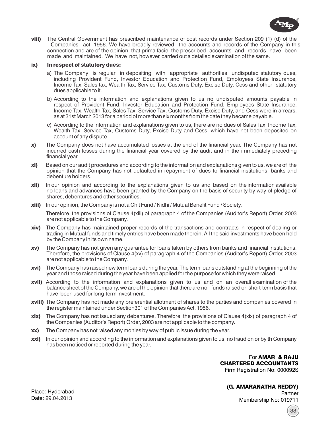

viii) The Central Government has prescribed maintenance of cost records under Section 209 (1) (d) of the Companies act, 1956. We have broadly reviewed the accounts and records of the Company in this connection and are of the opinion, that prima facie, the prescribed accounts and records have been made and maintained. We have not, however, carried out a detailed examination of the same.

#### ix) In respect of statutory dues:

- a) The Company is regular in depositing with appropriate authorities undisputed statutory dues, including Provident Fund, Investor Education and Protection Fund, Employees State Insurance, Income Tax, Sales tax, Wealth Tax, Service Tax, Customs Duty, Excise Duty, Cess and other statutory dues applicable to it.
- b) According to the information and explanations given to us no undisputed amounts payable in respect of Provident Fund, Investor Education and Protection Fund, Employees State Insurance, Income Tax, Wealth Tax, Sales Tax, Service Tax, Customs Duty, Excise Duty, and Cess were in arrears, as at 31st March 2013 for a period of more than six months from the date they became payable.
- c) According to the information and explanations given to us, there are no dues of Sales Tax, Income Tax, Wealth Tax, Service Tax, Customs Duty, Excise Duty and Cess, which have not been deposited on account of any dispute.
- x) The Company does not have accumulated losses at the end of the financial year. The Company has not incurred cash losses during the financial year covered by the audit and in the immediately preceding financial year.
- xi) Based on our audit procedures and according to the information and explanations given to us, we are of the opinion that the Company has not defaulted in repayment of dues to financial institutions, banks and debenture holders.
- **xii)** In our opinion and according to the explanations given to us and based on the information available no loans and advances have been granted by the Company on the basis of security by way of pledge of shares, debentures and other securities.
- xiii) In our opinion, the Company is not a Chit Fund / Nidhi / Mutual Benefit Fund / Society.

Therefore, the provisions of Clause 4(xiii) of paragraph 4 of the Companies (Auditor's Report) Order, 2003 are not applicable to the Company.

- xiv) The Company has maintained proper records of the transactions and contracts in respect of dealing or trading in Mutual funds and timely entries have been made therein. All the said investments have been held by the Company in its own name.
- xv) The Company has not given any guarantee for loans taken by others from banks and financial institutions. Therefore, the provisions of Clause 4(xv) of paragraph 4 of the Companies (Auditor's Report) Order, 2003 are not applicable to the Company.
- xvi) The Company has raised new term loans during the year. The term loans outstanding at the beginning of the year and those raised during the year have been applied for the purpose for which they were raised.
- **xvii)** According to the information and explanations given to us and on an overall examination of the balance sheet of the Company, we are of the opinion that there are no funds raised on short-term basis that have been used for long-term investment.
- xviii) The Company has not made any preferential allotment of shares to the parties and companies covered in the register maintained under Section301 of the Companies Act, 1956.
- **xix)** The Company has not issued any debentures. Therefore, the provisions of Clause  $4(xix)$  of paragraph 4 of the Companies (Auditor's Report) Order, 2003 are not applicable to the company.
- xx) The Company has not raised any monies by way of public issue during the year.
- xxi) In our opinion and according to the information and explanations given to us, no fraud on or by th Company has been noticed or reported during the year.

For AMAR & RAJU CHARTERED ACCOUNTANTS Firm Registration No: 000092S

(G. AMARANATHA REDDY) **Partner** Membership No: 019711

Place: Hyderabad Date: 29.04.2013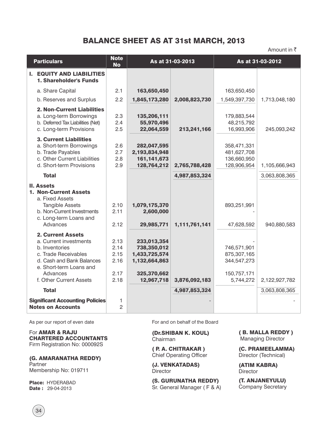## BALANCE SHEET AS AT 31st MARCH, 2013

Amount in  $\bar{z}$ 

| <b>Particulars</b>                                                                                                                                                                          | <b>Note</b><br><b>No</b>                     |                                                                                           | As at 31-03-2013 |                                                                       | As at 31-03-2012 |
|---------------------------------------------------------------------------------------------------------------------------------------------------------------------------------------------|----------------------------------------------|-------------------------------------------------------------------------------------------|------------------|-----------------------------------------------------------------------|------------------|
| <b>I. EQUITY AND LIABILITIES</b><br>1. Shareholder's Funds                                                                                                                                  |                                              |                                                                                           |                  |                                                                       |                  |
| a. Share Capital                                                                                                                                                                            | 2.1                                          | 163,650,450                                                                               |                  | 163,650,450                                                           |                  |
| b. Reserves and Surplus                                                                                                                                                                     | 2.2                                          | 1,845,173,280                                                                             | 2,008,823,730    | 1,549,397,730                                                         | 1,713,048,180    |
| <b>2. Non-Current Liabilities</b><br>a. Long-term Borrowings<br>b. Deferred Tax Liabilities (Net)<br>c. Long-term Provisions                                                                | 2.3<br>2.4<br>2.5                            | 135,206,111<br>55,970,496<br>22,064,559                                                   | 213,241,166      | 179,883,544<br>48,215,792<br>16,993,906                               | 245,093,242      |
| <b>3. Current Liabilities</b><br>a. Short-term Borrowings<br>b. Trade Payables<br>c. Other Current Liabilities<br>d. Short-term Provisions                                                  | 2.6<br>2.7<br>2.8<br>2.9                     | 282,047,595<br>2,193,834,948<br>161, 141, 673<br>128,764,212                              | 2,765,788,428    | 358,471,331<br>481,627,708<br>136,660,950<br>128,906,954              | 1,105,666,943    |
| <b>Total</b>                                                                                                                                                                                |                                              |                                                                                           | 4,987,853,324    |                                                                       | 3,063,808,365    |
| <b>II. Assets</b><br><b>1. Non-Current Assets</b><br>a. Fixed Assets<br><b>Tangible Assets</b><br>b. Non-Current Investments<br>c. Long-term Loans and<br>Advances                          | 2.10<br>2.11<br>2.12                         | 1,079,175,370<br>2,600,000<br>29,985,771                                                  | 1,111,761,141    | 893,251,991<br>47,628,592                                             | 940,880,583      |
| <b>2. Current Assets</b><br>a. Current investments<br>b. Inventories<br>c. Trade Receivables<br>d. Cash and Bank Balances<br>e. Short-term Loans and<br>Advances<br>f. Other Current Assets | 2.13<br>2.14<br>2.15<br>2.16<br>2.17<br>2.18 | 233,013,354<br>738,350,012<br>1,433,725,574<br>1,132,664,863<br>325,370,662<br>12,967,718 | 3,876,092,183    | 746,571,901<br>875,307,165<br>344,547,273<br>150,757,171<br>5,744,272 | 2,122,927,782    |
| <b>Total</b>                                                                                                                                                                                |                                              |                                                                                           | 4,987,853,324    |                                                                       | 3,063,808,365    |
| <b>Significant Accounting Policies</b><br><b>Notes on Accounts</b>                                                                                                                          | 1<br>$\overline{c}$                          |                                                                                           |                  |                                                                       |                  |

As per our report of even date

For AMAR & RAJU CHARTERED ACCOUNTANTS Firm Registration No: 000092S

(G. AMARANATHA REDDY) **Partner** Membership No: 019711

Place: HYDERABAD **Date: 29-04-2013** 

For and on behalf of the Board

(Dr.SHIBAN K. KOUL) Chairman

( P. A. CHITRAKAR ) Chief Operating Officer

(J. VENKATADAS) **Director** 

(S. GURUNATHA REDDY) Sr. General Manager ( F & A) ( B. MALLA REDDY ) Managing Director

(C. PRAMEELAMMA) Director (Technical)

(ATIM KABRA) **Director** 

(T. ANJANEYULU) Company Secretary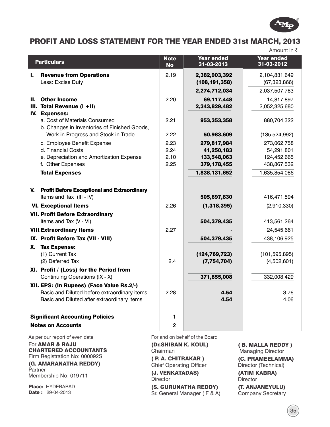

# PROFIT AND LOSS STATEMENT FOR THE YEAR ENDED 31st MARCH, 2013

Amount in  $\bar{z}$ 

|    | <b>Particulars</b>                                                                        | <b>Note</b><br><b>No</b> | <b>Year ended</b><br>$31 - 03 - 2013$ | <b>Year ended</b><br>31-03-2012 |
|----|-------------------------------------------------------------------------------------------|--------------------------|---------------------------------------|---------------------------------|
| L. | <b>Revenue from Operations</b>                                                            | 2.19                     | 2,382,903,392                         | 2,104,831,649                   |
|    | Less: Excise Duty                                                                         |                          | (108, 191, 358)                       | (67, 323, 866)                  |
|    |                                                                                           |                          | 2,274,712,034                         | 2,037,507,783                   |
| Н. | <b>Other Income</b>                                                                       | 2.20                     | 69,117,448                            | 14,817,897                      |
|    | III. Total Revenue $(I + II)$                                                             |                          | 2,343,829,482                         | 2,052,325,680                   |
|    | IV. Expenses:                                                                             |                          |                                       |                                 |
|    | a. Cost of Materials Consumed                                                             | 2.21                     | 953,353,358                           | 880,704,322                     |
|    | b. Changes in Inventories of Finished Goods,<br>Work-in-Progress and Stock-in-Trade       | 2.22                     | 50,983,609                            | (135,524,992)                   |
|    |                                                                                           |                          |                                       |                                 |
|    | c. Employee Benefit Expense<br>d. Financial Costs                                         | 2.23<br>2.24             | 279,817,984<br>41,250,183             | 273,062,758<br>54,291,801       |
|    | e. Depreciation and Amortization Expense                                                  | 2.10                     | 133,548,063                           | 124,452,665                     |
|    | f. Other Expenses                                                                         | 2.25                     | 379,178,455                           | 438,867,532                     |
|    | <b>Total Expenses</b>                                                                     |                          | 1,838,131,652                         | 1,635,854,086                   |
|    |                                                                                           |                          |                                       |                                 |
|    |                                                                                           |                          |                                       |                                 |
|    | V. Profit Before Exceptional and Extraordinary<br>Items and Tax (III - IV)                |                          | 505,697,830                           | 416,471,594                     |
|    | <b>VI. Exceptional Items</b>                                                              | 2.26                     | (1, 318, 395)                         | (2,910,330)                     |
|    |                                                                                           |                          |                                       |                                 |
|    | <b>VII. Profit Before Extraordinary</b><br>Items and Tax (V - VI)                         |                          | 504,379,435                           | 413,561,264                     |
|    | <b>VIII.Extraordinary Items</b>                                                           | 2.27                     |                                       | 24,545,661                      |
|    |                                                                                           |                          |                                       |                                 |
|    | IX. Profit Before Tax (VII - VIII)                                                        |                          | 504,379,435                           | 438,106,925                     |
| Х. | <b>Tax Expense:</b>                                                                       |                          |                                       |                                 |
|    | (1) Current Tax<br>(2) Deferred Tax                                                       | 2.4                      | (124, 769, 723)                       | (101, 595, 895)                 |
|    |                                                                                           |                          | (7, 754, 704)                         | (4,502,601)                     |
|    | XI. Profit / (Loss) for the Period from<br>Continuing Operations (IX - X)                 |                          | 371,855,008                           | 332,008,429                     |
|    |                                                                                           |                          |                                       |                                 |
|    | XII. EPS: (In Rupees) (Face Value Rs.2/-)<br>Basic and Diluted before extraordinary items | 2.28                     | 4.54                                  | 3.76                            |
|    | Basic and Diluted after extraordinary items                                               |                          | 4.54                                  | 4.06                            |
|    |                                                                                           |                          |                                       |                                 |
|    | <b>Significant Accounting Policies</b>                                                    | 1                        |                                       |                                 |
|    | <b>Notes on Accounts</b>                                                                  | 2                        |                                       |                                 |
|    |                                                                                           |                          |                                       |                                 |

As per our report of even date

For AMAR & RAJU CHARTERED ACCOUNTANTS Firm Registration No: 000092S

(G. AMARANATHA REDDY) Partner Membership No: 019711

Place: HYDERABAD **Date: 29-04-2013** 

For and on behalf of the Board

(Dr.SHIBAN K. KOUL) Chairman

( P. A. CHITRAKAR ) Chief Operating Officer

(J. VENKATADAS) Director

(S. GURUNATHA REDDY) Sr. General Manager ( F & A)

#### ( B. MALLA REDDY )

 Managing Director (C. PRAMEELAMMA) Director (Technical)

(ATIM KABRA) **Director** 

(T. ANJANEYULU) Company Secretary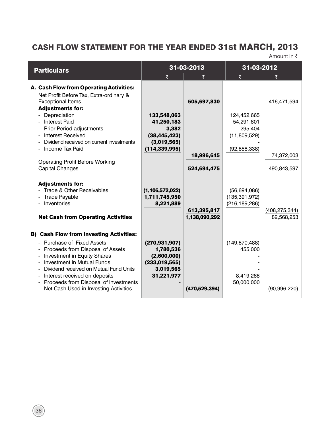# CASH FLOW STATEMENT FOR THE YEAR ENDED 31st MARCH, 2013

Amount in  $\bar{z}$ 

| <b>Particulars</b>                                                                                                                                                                                                                                                                                                                                         | 31-03-2013                                                                                |                              | 31-03-2012                                            |                               |
|------------------------------------------------------------------------------------------------------------------------------------------------------------------------------------------------------------------------------------------------------------------------------------------------------------------------------------------------------------|-------------------------------------------------------------------------------------------|------------------------------|-------------------------------------------------------|-------------------------------|
|                                                                                                                                                                                                                                                                                                                                                            | ₹                                                                                         |                              | ₹                                                     |                               |
| A. Cash Flow from Operating Activities:<br>Net Profit Before Tax, Extra-ordinary &<br><b>Exceptional Items</b><br><b>Adjustments for:</b>                                                                                                                                                                                                                  |                                                                                           | 505,697,830                  |                                                       | 416,471,594                   |
| Depreciation<br><b>Interest Paid</b><br><b>Prior Period adjustments</b><br><b>Interest Received</b>                                                                                                                                                                                                                                                        | 133,548,063<br>41,250,183<br>3,382<br>(38, 445, 423)                                      |                              | 124,452,665<br>54,291,801<br>295,404<br>(11,809,529)  |                               |
| Dividend received on current investments<br>Income Tax Paid<br><b>Operating Profit Before Working</b><br><b>Capital Changes</b>                                                                                                                                                                                                                            | (3,019,565)<br>(114, 339, 995)                                                            | 18,996,645<br>524,694,475    | (92, 858, 338)                                        | 74,372,003<br>490,843,597     |
| <b>Adjustments for:</b><br>- Trade & Other Receivables<br><b>Trade Payable</b><br>Inventories<br><b>Net Cash from Operating Activities</b>                                                                                                                                                                                                                 | (1, 106, 572, 022)<br>1,711,745,950<br>8,221,889                                          | 613,395,817<br>1,138,090,292 | (56, 694, 086)<br>(135, 391, 972)<br>(216, 189, 286)  | (408, 275, 344)<br>82,568,253 |
| <b>B) Cash Flow from Investing Activities:</b><br>- Purchase of Fixed Assets<br>- Proceeds from Disposal of Assets<br><b>Investment in Equity Shares</b><br><b>Investment in Mutual Funds</b><br>Dividend received on Mutual Fund Units<br>Interest received on deposits<br>Proceeds from Disposal of investments<br>Net Cash Used in Investing Activities | (270, 931, 907)<br>1,780,536<br>(2,600,000)<br>(233, 019, 565)<br>3,019,565<br>31,221,977 | (470,529,394)                | (149, 870, 488)<br>455,000<br>8,419,268<br>50,000,000 | (90, 996, 220)                |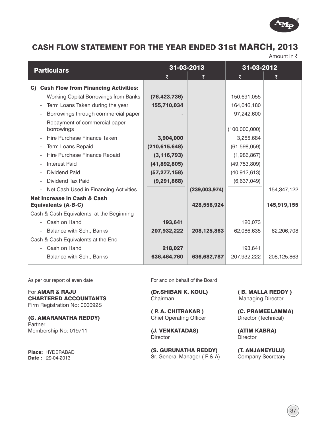

## CASH FLOW STATEMENT FOR THE YEAR ENDED 31st MARCH, 2013

Amount in  $\bar{z}$ 

| <b>Particulars</b>                                              |                 | 31-03-2013    | 31-03-2012     |               |
|-----------------------------------------------------------------|-----------------|---------------|----------------|---------------|
|                                                                 |                 |               | ₹              |               |
| <b>Cash Flow from Financing Activities:</b><br>C)               |                 |               |                |               |
| Working Capital Borrowings from Banks                           | (76, 423, 736)  |               | 150,691,055    |               |
| Term Loans Taken during the year<br>$\overline{\phantom{a}}$    | 155,710,034     |               | 164,046,180    |               |
| Borrowings through commercial paper<br>$\overline{\phantom{a}}$ |                 |               | 97,242,600     |               |
| Repayment of commercial paper                                   |                 |               |                |               |
| borrowings                                                      |                 |               | (100,000,000)  |               |
| Hire Purchase Finance Taken                                     | 3,904,000       |               | 3,255,684      |               |
| <b>Term Loans Repaid</b><br>$\overline{\phantom{a}}$            | (210, 615, 648) |               | (61, 598, 059) |               |
| Hire Purchase Finance Repaid<br>$\overline{\phantom{a}}$        | (3, 116, 793)   |               | (1,986,867)    |               |
| <b>Interest Paid</b><br>$\overline{\phantom{a}}$                | (41,892,805)    |               | (49, 753, 809) |               |
| <b>Dividend Paid</b>                                            | (57, 277, 158)  |               | (40, 912, 613) |               |
| Dividend Tax Paid<br>$\overline{\phantom{a}}$                   | (9, 291, 868)   |               | (6,637,049)    |               |
| Net Cash Used in Financing Activities                           |                 | (239,003,974) |                | 154,347,122   |
| <b>Net Increase in Cash &amp; Cash</b>                          |                 |               |                |               |
| <b>Equivalents (A-B-C)</b>                                      |                 | 428,556,924   |                | 145,919,155   |
| Cash & Cash Equivalents at the Beginning                        |                 |               |                |               |
| - Cash on Hand                                                  | 193,641         |               | 120,073        |               |
| Balance with Sch., Banks                                        | 207,932,222     | 208, 125, 863 | 62,086,635     | 62,206,708    |
| Cash & Cash Equivalents at the End                              |                 |               |                |               |
| Cash on Hand                                                    | 218,027         |               | 193,641        |               |
| Balance with Sch., Banks<br>$\overline{\phantom{a}}$            | 636,464,760     | 636,682,787   | 207,932,222    | 208, 125, 863 |
|                                                                 |                 |               |                |               |

As per our report of even date

For AMAR & RAJU CHARTERED ACCOUNTANTS Firm Registration No: 000092S

(G. AMARANATHA REDDY) **Partner** Membership No: 019711

Place: HYDERABAD **Date: 29-04-2013** 

For and on behalf of the Board

(Dr.SHIBAN K. KOUL) Chairman

( P. A. CHITRAKAR ) Chief Operating Officer

(J. VENKATADAS) **Director** 

(S. GURUNATHA REDDY) Sr. General Manager ( F & A) ( B. MALLA REDDY ) Managing Director

(C. PRAMEELAMMA) Director (Technical)

(ATIM KABRA) **Director** 

(T. ANJANEYULU) Company Secretary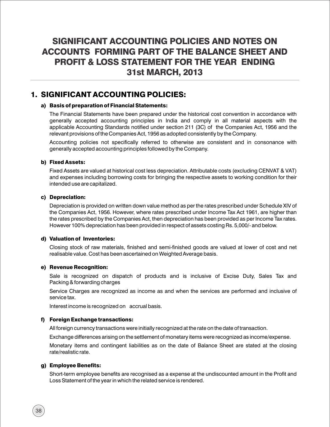# SIGNIFICANT ACCOUNTING POLICIES AND NOTES ON ACCOUNTS FORMING PART OF THE BALANCE SHEET AND PROFIT & LOSS STATEMENT FOR THE YEAR ENDING 31st MARCH, 2013

## 1. SIGNIFICANT ACCOUNTING POLICIES:

#### a) Basis of preparation of Financial Statements:

The Financial Statements have been prepared under the historical cost convention in accordance with generally accepted accounting principles in India and comply in all material aspects with the applicable Accounting Standards notified under section 211 (3C) of the Companies Act, 1956 and the relevant provisions of the Companies Act, 1956 as adopted consistently by the Company.

Accounting policies not specifically referred to otherwise are consistent and in consonance with generally accepted accounting principles followed by the Company.

#### b) Fixed Assets:

Fixed Assets are valued at historical cost less depreciation. Attributable costs (excluding CENVAT & VAT) and expenses including borrowing costs for bringing the respective assets to working condition for their intended use are capitalized.

#### c) Depreciation:

Depreciation is provided on written down value method as per the rates prescribed under Schedule XIV of the Companies Act, 1956. However, where rates prescribed under Income Tax Act 1961, are higher than the rates prescribed by the Companies Act, then depreciation has been provided as per Income Tax rates. However 100% depreciation has been provided in respect of assets costing Rs. 5,000/- and below.

#### d) Valuation of Inventories:

Closing stock of raw materials, finished and semi-finished goods are valued at lower of cost and net realisable value. Cost has been ascertained on Weighted Average basis.

#### e) Revenue Recognition:

Sale is recognized on dispatch of products and is inclusive of Excise Duty, Sales Tax and Packing & forwarding charges

Service Charges are recognized as income as and when the services are performed and inclusive of service tax.

Interest income is recognized on accrual basis.

#### f) Foreign Exchange transactions:

All foreign currency transactions were initially recognized at the rate on the date of transaction.

Exchange differences arising on the settlement of monetary items were recognized as income/expense.

Monetary items and contingent liabilities as on the date of Balance Sheet are stated at the closing rate/realistic rate.

#### g) Employee Benefits:

Short-term employee benefits are recognised as a expense at the undiscounted amount in the Profit and Loss Statement of the year in which the related service is rendered.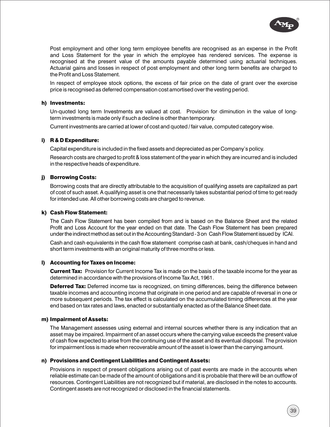

Post employment and other long term employee benefits are recognised as an expense in the Profit and Loss Statement for the year in which the employee has rendered services. The expense is recognised at the present value of the amounts payable determined using actuarial techniques. Actuarial gains and losses in respect of post employment and other long term benefits are charged to the Profit and Loss Statement.

In respect of employee stock options, the excess of fair price on the date of grant over the exercise price is recognised as deferred compensation cost amortised over the vesting period.

#### h) Investments:

Un-quoted long term Investments are valued at cost. Provision for diminution in the value of longterm investments is made only if such a decline is other than temporary.

Current investments are carried at lower of cost and quoted / fair value, computed category wise.

#### i) R & D Expenditure:

Capital expenditure is included in the fixed assets and depreciated as per Company's policy.

Research costs are charged to profit & loss statement of the year in which they are incurred and is included in the respective heads of expenditure.

#### j) Borrowing Costs:

Borrowing costs that are directly attributable to the acquisition of qualifying assets are capitalized as part of cost of such asset. A qualifying asset is one that necessarily takes substantial period of time to get ready for intended use. All other borrowing costs are charged to revenue.

#### k) Cash Flow Statement:

The Cash Flow Statement has been compiled from and is based on the Balance Sheet and the related Profit and Loss Account for the year ended on that date. The Cash Flow Statement has been prepared under the indirect method as set out in the Accounting Standard - 3 on Cash Flow Statement issued by ICAI.

Cash and cash equivalents in the cash flow statement comprise cash at bank, cash/cheques in hand and short term investments with an original maturity of three months or less.

#### l) Accounting for Taxes on Income:

**Current Tax:** Provision for Current Income Tax is made on the basis of the taxable income for the year as determined in accordance with the provisions of Income Tax Act, 1961.

**Deferred Tax:** Deferred income tax is recognized, on timing differences, being the difference between taxable incomes and accounting income that originate in one period and are capable of reversal in one or more subsequent periods. The tax effect is calculated on the accumulated timing differences at the year end based on tax rates and laws, enacted or substantially enacted as of the Balance Sheet date.

#### m) Impairment of Assets:

The Management assesses using external and internal sources whether there is any indication that an asset may be impaired. Impairment of an asset occurs where the carrying value exceeds the present value of cash flow expected to arise from the continuing use of the asset and its eventual disposal. The provision for impairment loss is made when recoverable amount of the asset is lower than the carrying amount.

#### n) Provisions and Contingent Liabilities and Contingent Assets:

Provisions in respect of present obligations arising out of past events are made in the accounts when reliable estimate can be made of the amount of obligations and it is probable that there will be an outflow of resources. Contingent Liabilities are not recognized but if material, are disclosed in the notes to accounts. Contingent assets are not recognized or disclosed in the financial statements.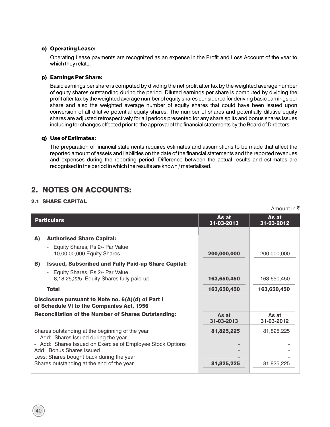#### o) Operating Lease:

Operating Lease payments are recognized as an expense in the Profit and Loss Account of the year to which they relate.

#### p) Earnings Per Share:

Basic earnings per share is computed by dividing the net profit after tax by the weighted average number of equity shares outstanding during the period. Diluted earnings per share is computed by dividing the profit after tax by the weighted average number of equity shares considered for deriving basic earnings per share and also the weighted average number of equity shares that could have been issued upon conversion of all dilutive potential equity shares. The number of shares and potentially dilutive equity shares are adjusted retrospectively for all periods presented for any share splits and bonus shares issues including for changes effected prior to the approval of the financial statements by the Board of Directors.

#### q) Use of Estimates:

The preparation of financial statements requires estimates and assumptions to be made that affect the reported amount of assets and liabilities on the date of the financial statements and the reported revenues and expenses during the reporting period. Difference between the actual results and estimates are recognised in the period in which the results are known / materialised.

## 2. NOTES ON ACCOUNTS:

#### 2.1 SHARE CAPITAL

|    |                                                                                                                                                                                                                                                                            |                          | Amount in ₹              |
|----|----------------------------------------------------------------------------------------------------------------------------------------------------------------------------------------------------------------------------------------------------------------------------|--------------------------|--------------------------|
|    | <b>Particulars</b>                                                                                                                                                                                                                                                         | As at<br>31-03-2013      | As at<br>31-03-2012      |
| A) | <b>Authorised Share Capital:</b><br>Equity Shares, Rs.2/- Par Value<br>÷,<br>10,00,00,000 Equity Shares                                                                                                                                                                    | 200,000,000              | 200,000,000              |
| B) | <b>Issued, Subscribed and Fully Paid-up Share Capital:</b><br>- Equity Shares, Rs.2/- Par Value<br>8,18,25,225 Equity Shares fully paid-up                                                                                                                                 | 163,650,450              | 163,650,450              |
|    | <b>Total</b>                                                                                                                                                                                                                                                               | 163,650,450              | 163,650,450              |
|    | Disclosure pursuant to Note no. 6(A)(d) of Part I<br>of Schedule VI to the Companies Act, 1956                                                                                                                                                                             |                          |                          |
|    | <b>Reconciliation of the Number of Shares Outstanding:</b>                                                                                                                                                                                                                 | As at<br>31-03-2013      | As at<br>31-03-2012      |
|    | Shares outstanding at the beginning of the year<br>- Add: Shares Issued during the year<br>- Add: Shares Issued on Exercise of Employee Stock Options<br>Add: Bonus Shares Issued<br>Less: Shares bought back during the year<br>Shares outstanding at the end of the year | 81,825,225<br>81,825,225 | 81,825,225<br>81,825,225 |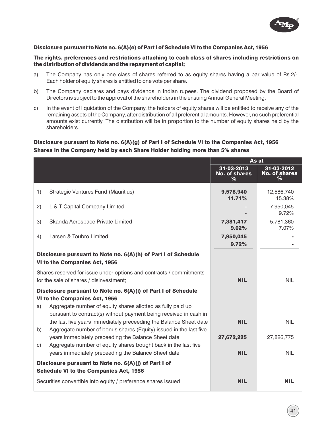

#### Disclosure pursuant to Note no. 6(A)(e) of Part I of Schedule VI to the Companies Act, 1956

#### The rights, preferences and restrictions attaching to each class of shares including restrictions on the distribution of dividends and the repayment of capital;

- a) The Company has only one class of shares referred to as equity shares having a par value of Rs.2/-. Each holder of equity shares is entitled to one vote per share.
- b) The Company declares and pays dividends in Indian rupees. The dividend proposed by the Board of Directors is subject to the approval of the shareholders in the ensuing Annual General Meeting.
- c) In the event of liquidation of the Company, the holders of equity shares will be entitled to receive any of the remaining assets of the Company, after distribution of all preferential amounts. However, no such preferential amounts exist currently. The distribution will be in proportion to the number of equity shares held by the shareholders.

#### Disclosure pursuant to Note no. 6(A)(g) of Part I of Schedule VI to the Companies Act, 1956 Shares in the Company held by each Share Holder holding more than 5% shares

|    |                                                                                                                                                                                                                                    |                                         | As at                                   |
|----|------------------------------------------------------------------------------------------------------------------------------------------------------------------------------------------------------------------------------------|-----------------------------------------|-----------------------------------------|
|    |                                                                                                                                                                                                                                    | 31-03-2013<br><b>No. of shares</b><br>℅ | 31-03-2012<br><b>No. of shares</b><br>℅ |
| 1) | <b>Strategic Ventures Fund (Mauritius)</b>                                                                                                                                                                                         | 9,578,940<br>11.71%                     | 12,586,740<br>15.38%                    |
| 2) | L & T Capital Company Limited                                                                                                                                                                                                      |                                         | 7,950,045<br>9.72%                      |
| 3) | Skanda Aerospace Private Limited                                                                                                                                                                                                   | 7,381,417<br>9.02%                      | 5,781,360<br>7.07%                      |
| 4) | Larsen & Toubro Limited                                                                                                                                                                                                            | 7,950,045<br>9.72%                      |                                         |
|    | Disclosure pursuant to Note no. 6(A)(h) of Part I of Schedule<br>VI to the Companies Act, 1956                                                                                                                                     |                                         |                                         |
|    | Shares reserved for issue under options and contracts / commitments<br>for the sale of shares / disinvestment;                                                                                                                     | <b>NIL</b>                              | NIL.                                    |
| a) | Disclosure pursuant to Note no. 6(A)(i) of Part I of Schedule<br>VI to the Companies Act, 1956<br>Aggregate number of equity shares allotted as fully paid up<br>pursuant to contract(s) without payment being received in cash in |                                         |                                         |
| b) | the last five years immediately preceeding the Balance Sheet date<br>Aggregate number of bonus shares (Equity) issued in the last five                                                                                             | <b>NIL</b>                              | <b>NIL</b>                              |
| C) | years immediately preceeding the Balance Sheet date<br>Aggregate number of equity shares bought back in the last five                                                                                                              | 27,672,225                              | 27,826,775                              |
|    | years immediately preceeding the Balance Sheet date                                                                                                                                                                                | <b>NIL</b>                              | <b>NIL</b>                              |
|    | Disclosure pursuant to Note no. 6(A)(j) of Part I of<br><b>Schedule VI to the Companies Act, 1956</b>                                                                                                                              |                                         |                                         |
|    | Securities convertible into equity / preference shares issued                                                                                                                                                                      | <b>NIL</b>                              | <b>NIL</b>                              |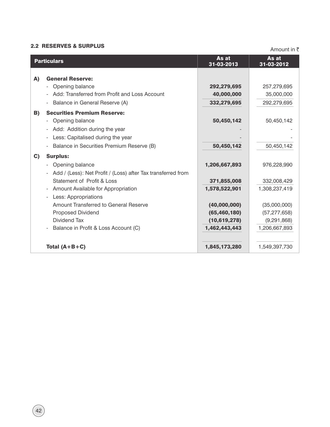# **2.2 RESERVES & SURPLUS Amount in**  $\bar{z}$

|              | <b>Particulars</b>                                               | As at<br>31-03-2013 | As at<br>31-03-2012 |
|--------------|------------------------------------------------------------------|---------------------|---------------------|
| A)           | <b>General Reserve:</b>                                          |                     |                     |
|              | Opening balance                                                  | 292,279,695         | 257,279,695         |
|              | Add: Transferred from Profit and Loss Account                    | 40,000,000          | 35,000,000          |
|              | Balance in General Reserve (A)                                   | 332,279,695         | 292,279,695         |
| B)           | <b>Securities Premium Reserve:</b>                               |                     |                     |
|              | Opening balance                                                  | 50,450,142          | 50,450,142          |
|              | - Add: Addition during the year                                  |                     |                     |
|              | Less: Capitalised during the year                                |                     |                     |
|              | Balance in Securities Premium Reserve (B)                        | 50,450,142          | 50,450,142          |
| $\mathbf{C}$ | <b>Surplus:</b>                                                  |                     |                     |
|              | Opening balance                                                  | 1,206,667,893       | 976,228,990         |
|              | Add / (Less): Net Profit / (Loss) after Tax transferred from     |                     |                     |
|              | Statement of Profit & Loss                                       | 371,855,008         | 332,008,429         |
|              | Amount Available for Appropriation                               | 1,578,522,901       | 1,308,237,419       |
|              | Less: Appropriations<br>$\blacksquare$                           |                     |                     |
|              | Amount Transferred to General Reserve                            | (40,000,000)        | (35,000,000)        |
|              | Proposed Dividend                                                | (65, 460, 180)      | (57, 277, 658)      |
|              | <b>Dividend Tax</b>                                              | (10,619,278)        | (9, 291, 868)       |
|              | Balance in Profit & Loss Account (C)<br>$\overline{\phantom{a}}$ | 1,462,443,443       | 1,206,667,893       |
|              |                                                                  |                     |                     |
|              | Total $(A+B+C)$                                                  | 1,845,173,280       | 1,549,397,730       |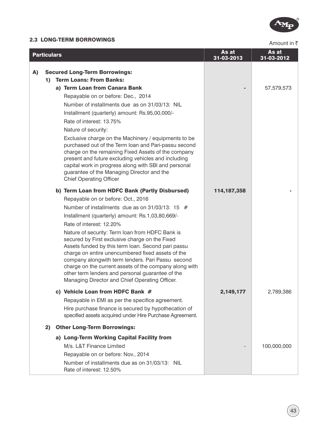

# **2.3 LONG-TERM BORROWINGS Amount in**  $\bar{\zeta}$

|    | <b>Particulars</b>                                                                                                                                                                                                                                                                                                                                                                                                                                                                                                                                                                                                                                                               | As at<br>31-03-2013 | As at<br>31-03-2012 |
|----|----------------------------------------------------------------------------------------------------------------------------------------------------------------------------------------------------------------------------------------------------------------------------------------------------------------------------------------------------------------------------------------------------------------------------------------------------------------------------------------------------------------------------------------------------------------------------------------------------------------------------------------------------------------------------------|---------------------|---------------------|
| A) | <b>Secured Long-Term Borrowings:</b><br><b>Term Loans: From Banks:</b><br>1)<br>a) Term Loan from Canara Bank<br>Repayable on or before: Dec., 2014<br>Number of installments due as on 31/03/13: NIL<br>Installment (quarterly) amount: Rs.95,00,000/-<br>Rate of interest: 13.75%<br>Nature of security:<br>Exclusive charge on the Machinery / equipments to be<br>purchased out of the Term loan and Pari-passu second<br>charge on the remaining Fixed Assets of the company<br>present and future excluding vehicles and including<br>capital work in progress along with SBI and personal<br>guarantee of the Managing Director and the<br><b>Chief Operating Officer</b> |                     | 57,579,573          |
|    | b) Term Loan from HDFC Bank (Partly Disbursed)<br>Repayable on or before: Oct., 2016<br>Number of installments due as on $31/03/13$ : 15 #<br>Installment (quarterly) amount: Rs.1,03,80,669/-<br>Rate of interest: 12.20%<br>Nature of security: Term loan from HDFC Bank is<br>secured by First exclusive charge on the Fixed<br>Assets funded by this term loan. Second pari passu<br>charge on entire unencumbered fixed assets of the<br>company alongwith term lenders. Pari Passu second<br>charge on the current assets of the company along with<br>other term lenders and personal guarantee of the<br>Managing Director and Chief Operating Officer.                  | 114, 187, 358       |                     |
|    | c) Vehicle Loan from HDFC Bank #<br>Repayable in EMI as per the specifice agreement.<br>Hire purchase finance is secured by hypothecation of<br>specified assets acquired under Hire Purchase Agreement.                                                                                                                                                                                                                                                                                                                                                                                                                                                                         | 2,149,177           | 2,789,386           |
|    | <b>Other Long-Term Borrowings:</b><br>2)                                                                                                                                                                                                                                                                                                                                                                                                                                                                                                                                                                                                                                         |                     |                     |
|    | a) Long-Term Working Capital Facility from<br>M/s. L&T Finance Limited<br>Repayable on or before: Nov., 2014<br>Number of installments due as on 31/03/13: NIL<br>Rate of interest: 12.50%                                                                                                                                                                                                                                                                                                                                                                                                                                                                                       |                     | 100,000,000         |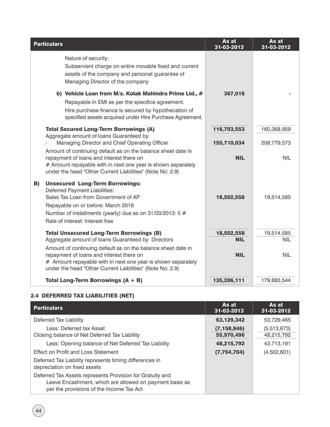| <b>Particulars</b>                                                                                                                                                                                                                                                                                                                            | As at<br>31-03-2013                    | As at<br>31-03-2012                    |
|-----------------------------------------------------------------------------------------------------------------------------------------------------------------------------------------------------------------------------------------------------------------------------------------------------------------------------------------------|----------------------------------------|----------------------------------------|
| Nature of security:<br>Subservient charge on entire movable fixed and current<br>assets of the company and personal guarantee of<br>Managing Director of the company                                                                                                                                                                          |                                        |                                        |
| b) Vehicle Loan from M/s. Kotak Mahindra Prime Ltd., #<br>Repayable in EMI as per the specifice agreement.<br>Hire purchase finance is secured by hypothecation of<br>specified assets acquired under Hire Purchase Agreement.                                                                                                                | 367,018                                |                                        |
| <b>Total Secured Long-Term Borrowings (A)</b>                                                                                                                                                                                                                                                                                                 | 116,703,553                            | 160,368,959                            |
| Aggregate amount of loans Guaranteed by<br>Managing Director and Chief Operating Officer                                                                                                                                                                                                                                                      | 155,710,034                            | 208,779,573                            |
| Amount of continuing default as on the balance sheet date in<br>repayment of loans and interest there on<br># Amount repayable with in next one year is shown separately<br>under the head "Other Current Liabilities" (Note No: 2.9)                                                                                                         | <b>NIL</b>                             | <b>NIL</b>                             |
| <b>Unsecured Long-Term Borrowings:</b><br>B)<br>Deferred Payment Liabilities:<br>Sales Tax Loan from Government of AP<br>Repayable on or before: March 2018<br>Number of installments (yearly) due as on 31/03/2013: 5 #<br>Rate of interest: Interest free                                                                                   | 18,502,558                             | 19,514,585                             |
| <b>Total Unsecured Long-Term Borrowings (B)</b><br>Aggregate amount of loans Guaranteed by Directors<br>Amount of continuing default as on the balance sheet date in<br>repayment of loans and interest there on<br># Amount repayable with in next one year is shown separately<br>under the head "Other Current Liabilities" (Note No: 2.9) | 18,502,558<br><b>NIL</b><br><b>NIL</b> | 19,514,585<br><b>NIL</b><br><b>NIL</b> |
| Total Long-Term Borrowings $(A + B)$                                                                                                                                                                                                                                                                                                          | 135,206,111                            | 179,883,544                            |

## 2.4 DEFERRED TAX LIABILITIES (NET)

| <b>Particulars</b>                                                                                                                                               | As at<br>31-03-2013 | As at<br>31-03-2012 |
|------------------------------------------------------------------------------------------------------------------------------------------------------------------|---------------------|---------------------|
| Deferred Tax Liability                                                                                                                                           | 63,129,342          | 53,729,465          |
| Less: Deferred tax Asset                                                                                                                                         | (7, 158, 846)       | (5,513,673)         |
| Closing balance of Net Deferred Tax Liability                                                                                                                    | 55,970,496          | 48,215,792          |
| Less: Opening balance of Net Deferred Tax Liability                                                                                                              | 48,215,792          | 43,713,191          |
| Effect on Profit and Loss Statement                                                                                                                              | (7,754,704)         | (4,502,601)         |
| Deferred Tax Liability represents timing differences in<br>depreciation on fixed assets                                                                          |                     |                     |
| Deferred Tax Assets represents Provision for Gratuity and<br>Leave Encashment, which are allowed on payment basis as<br>per the provisions of the Income Tax Act |                     |                     |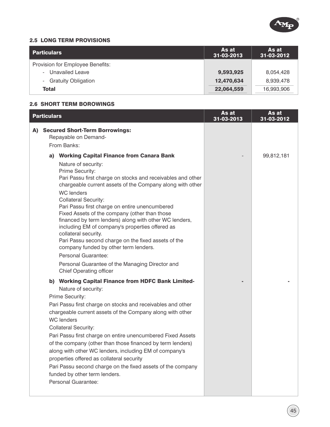

#### 2.5 LONG TERM PROVISIONS

| Particulars                      | As at<br>31-03-2013 | As at<br>31-03-2012 |
|----------------------------------|---------------------|---------------------|
| Provision for Employee Benefits: |                     |                     |
| - Unavailed Leave                | 9,593,925           | 8,054,428           |
| - Gratuity Obligation            | 12,470,634          | 8,939,478           |
| Total                            | 22,064,559          | 16,993,906          |

#### 2.6 SHORT TERM BOROWINGS

| <b>Particulars</b>                                                                                                                                                                                                                                                                                                                                                                                                                                                                                                                                                                                                                                                                                                                                                                                                                                                                                                                                                                                                                                                                                                                                                                                                                                                                                                                                                                       | As at<br>31-03-2013 | As at<br>31-03-2012 |
|------------------------------------------------------------------------------------------------------------------------------------------------------------------------------------------------------------------------------------------------------------------------------------------------------------------------------------------------------------------------------------------------------------------------------------------------------------------------------------------------------------------------------------------------------------------------------------------------------------------------------------------------------------------------------------------------------------------------------------------------------------------------------------------------------------------------------------------------------------------------------------------------------------------------------------------------------------------------------------------------------------------------------------------------------------------------------------------------------------------------------------------------------------------------------------------------------------------------------------------------------------------------------------------------------------------------------------------------------------------------------------------|---------------------|---------------------|
| <b>Secured Short-Term Borrowings:</b><br>A)<br>Repayable on Demand-<br>From Banks:                                                                                                                                                                                                                                                                                                                                                                                                                                                                                                                                                                                                                                                                                                                                                                                                                                                                                                                                                                                                                                                                                                                                                                                                                                                                                                       |                     |                     |
| <b>Working Capital Finance from Canara Bank</b><br>a)<br>Nature of security:<br>Prime Security:<br>Pari Passu first charge on stocks and receivables and other<br>chargeable current assets of the Company along with other<br><b>WC</b> lenders<br><b>Collateral Security:</b><br>Pari Passu first charge on entire unencumbered<br>Fixed Assets of the company (other than those<br>financed by term lenders) along with other WC lenders,<br>including EM of company's properties offered as<br>collateral security.<br>Pari Passu second charge on the fixed assets of the<br>company funded by other term lenders.<br>Personal Guarantee:<br>Personal Guarantee of the Managing Director and<br><b>Chief Operating officer</b><br><b>Working Capital Finance from HDFC Bank Limited-</b><br>b)<br>Nature of security:<br>Prime Security:<br>Pari Passu first charge on stocks and receivables and other<br>chargeable current assets of the Company along with other<br><b>WC</b> lenders<br><b>Collateral Security:</b><br>Pari Passu first charge on entire unencumbered Fixed Assets<br>of the company (other than those financed by term lenders)<br>along with other WC lenders, including EM of company's<br>properties offered as collateral security<br>Pari Passu second charge on the fixed assets of the company<br>funded by other term lenders.<br>Personal Guarantee: |                     | 99,812,181          |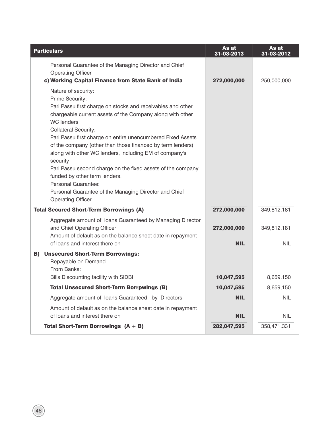| <b>Particulars</b>                                                                                                                                                                                                                                                                                                                                                                                                                                                                                                                                                                                                                    | As at<br>31-03-2013       | As at<br>31-03-2012       |
|---------------------------------------------------------------------------------------------------------------------------------------------------------------------------------------------------------------------------------------------------------------------------------------------------------------------------------------------------------------------------------------------------------------------------------------------------------------------------------------------------------------------------------------------------------------------------------------------------------------------------------------|---------------------------|---------------------------|
| Personal Guarantee of the Managing Director and Chief<br><b>Operating Officer</b><br>c) Working Capital Finance from State Bank of India                                                                                                                                                                                                                                                                                                                                                                                                                                                                                              | 272,000,000               | 250,000,000               |
| Nature of security:<br>Prime Security:<br>Pari Passu first charge on stocks and receivables and other<br>chargeable current assets of the Company along with other<br><b>WC</b> lenders<br><b>Collateral Security:</b><br>Pari Passu first charge on entire unencumbered Fixed Assets<br>of the company (other than those financed by term lenders)<br>along with other WC lenders, including EM of company's<br>security<br>Pari Passu second charge on the fixed assets of the company<br>funded by other term lenders.<br>Personal Guarantee:<br>Personal Guarantee of the Managing Director and Chief<br><b>Operating Officer</b> |                           |                           |
| <b>Total Secured Short-Term Borrowings (A)</b>                                                                                                                                                                                                                                                                                                                                                                                                                                                                                                                                                                                        | 272,000,000               | 349,812,181               |
| Aggregate amount of loans Guaranteed by Managing Director<br>and Chief Operating Officer<br>Amount of default as on the balance sheet date in repayment<br>of loans and interest there on                                                                                                                                                                                                                                                                                                                                                                                                                                             | 272,000,000<br><b>NIL</b> | 349,812,181<br><b>NIL</b> |
| <b>B) Unsecured Short-Term Borrowings:</b><br>Repayable on Demand<br>From Banks:<br>Bills Discounting facility with SIDBI                                                                                                                                                                                                                                                                                                                                                                                                                                                                                                             | 10,047,595                | 8,659,150                 |
| <b>Total Unsecured Short-Term Borrpwings (B)</b>                                                                                                                                                                                                                                                                                                                                                                                                                                                                                                                                                                                      | 10,047,595                | 8,659,150                 |
| Aggregate amount of loans Guaranteed by Directors                                                                                                                                                                                                                                                                                                                                                                                                                                                                                                                                                                                     | <b>NIL</b>                | <b>NIL</b>                |
| Amount of default as on the balance sheet date in repayment                                                                                                                                                                                                                                                                                                                                                                                                                                                                                                                                                                           |                           |                           |
| of loans and interest there on                                                                                                                                                                                                                                                                                                                                                                                                                                                                                                                                                                                                        | <b>NIL</b>                | <b>NIL</b>                |
| Total Short-Term Borrowings $(A + B)$                                                                                                                                                                                                                                                                                                                                                                                                                                                                                                                                                                                                 | 282,047,595               | 358,471,331               |

46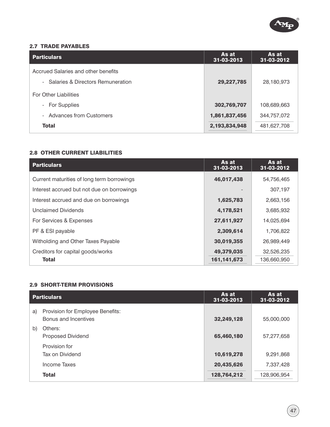

#### 2.7 TRADE PAYABLES

| <b>Particulars</b>                          | As at<br>31-03-2013 | As at<br>31-03-2012 |
|---------------------------------------------|---------------------|---------------------|
| Accrued Salaries and other benefits         |                     |                     |
| Salaries & Directors Remuneration<br>$\sim$ | 29,227,785          | 28,180,973          |
| <b>For Other Liabilities</b>                |                     |                     |
| - For Supplies                              | 302,769,707         | 108,689,663         |
| <b>Advances from Customers</b>              | 1,861,837,456       | 344,757,072         |
| <b>Total</b>                                | 2,193,834,948       | 481,627,708         |

### 2.8 OTHER CURRENT LIABILITIES

| <b>Particulars</b>                         | As at<br>31-03-2013 | As at<br>31-03-2012 |
|--------------------------------------------|---------------------|---------------------|
| Current maturities of long term borrowings | 46,017,438          | 54,756,465          |
| Interest accrued but not due on borrowings |                     | 307,197             |
| Interest accrued and due on borrowings     | 1,625,783           | 2,663,156           |
| <b>Unclaimed Dividends</b>                 | 4,178,521           | 3,685,932           |
| For Services & Expenses                    | 27,611,927          | 14,025,694          |
| PF & ESI payable                           | 2,309,614           | 1,706,822           |
| Witholding and Other Taxes Payable         | 30,019,355          | 26,989,449          |
| Creditors for capital goods/works          | 49,379,035          | 32,526,235          |
| <b>Total</b>                               | 161, 141, 673       | 136,660,950         |

#### 2.9 SHORT-TERM PROVISIONS

|    | <b>Particulars</b>                                       | As at<br>31-03-2013 | As at<br>31-03-2012 |
|----|----------------------------------------------------------|---------------------|---------------------|
| a) | Provision for Employee Benefits:<br>Bonus and Incentives | 32,249,128          | 55,000,000          |
| b) | Others:<br><b>Proposed Dividend</b>                      | 65,460,180          | 57,277,658          |
|    | Provision for<br>Tax on Dividend                         | 10,619,278          | 9,291,868           |
|    | <b>Income Taxes</b>                                      | 20,435,626          | 7,337,428           |
|    | <b>Total</b>                                             | 128,764,212         | 128,906,954         |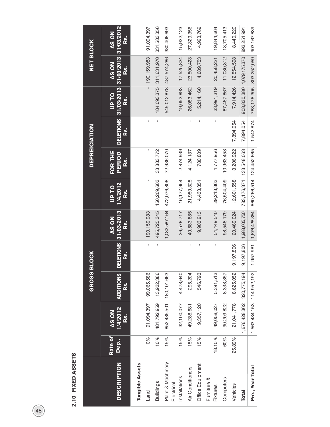| 1<br>Ú<br>ē<br>ĕ<br>ŕ |  |
|-----------------------|--|
| ۹                     |  |
| t,                    |  |

|                                 |                  |                                 | <b>GROSS BL</b>        | <b>OCK</b>                    |                                  |                                       | <b>DEPREICIATION</b>     |           |                                                              | <b>NET BLOCK</b>          |                                    |
|---------------------------------|------------------|---------------------------------|------------------------|-------------------------------|----------------------------------|---------------------------------------|--------------------------|-----------|--------------------------------------------------------------|---------------------------|------------------------------------|
| <b>DESCRIPTION</b>              | Rate of<br>Dep., | 1/4/2012<br><b>AS ON</b><br>Rs. | <b>ADDITIONS</b><br>ន័ | <b>DELETIONS</b><br><u>ಜೆ</u> | 31/03/2013<br>AS ON<br><u>ය.</u> | 1/4/2012<br><b>DL FD</b><br><u>ຜ່</u> | FOR THE<br>PERIOD<br>Rs. | នុ        | DELETIONS 31/03/2013 31/03/2013<br><b>DL dn</b><br><u>ຜ່</u> | <b>AS ON</b><br><u>ks</u> | 31/03/2012<br>AS ON<br><u>ks</u> . |
| <b>Tangible Assets</b>          |                  |                                 |                        |                               |                                  |                                       |                          |           |                                                              |                           |                                    |
| Land                            | 0%               | 91,094,397                      | 99,065,586             | $\mathbf{I}$                  | 190, 159, 983                    |                                       | ı                        |           | $\frac{1}{1}$                                                | 190, 159, 983             | 91,094,397                         |
| <b>Buildings</b>                | 10%              | 481,792,959                     | 13,932,386             | f,                            | 495,725,345                      | 150,209,603                           | 33,883,772               |           | 184,093,375                                                  | 311,631,970               | 331,583,356                        |
| Plant & Machinery<br>Electrical | 15%              | 852,485,501                     | 180, 101, 663          |                               | 1,032,587,164                    | 472,076,808                           | 72,936,070               |           |                                                              | 545,012,878 487,574,286   | 380,408,693                        |
| Installations                   | 15%              | 32,100,077                      | 4,478,640              |                               | 36,578,717                       | 16,177,954                            | 2,874,939                |           | 19,052,893                                                   | 17,525,824                | 15,922,123                         |
| Air Conditioners                | 15%              | 49,288,681                      | 295,204                |                               | 49,583,885                       | 21,959,325                            | 4,124,137                |           | 26,083,462                                                   | 23,500,423                | 27,329,356                         |
| Office Equipment                | 15%              | 9,357,120                       | 546,793                |                               | 9,903,913                        | 4,433,351                             | 780,809                  |           | 5,214,160                                                    | 4,689,753                 | 4,923,769                          |
| Furniture &<br>Fixtures         | 18.10%           | 49,058,027                      | 5,391,513              |                               | 54,449,540                       | 29,213,363                            | 4,777,956                |           | 33,991,319                                                   | 20,458,221                | 19,844,664                         |
| Computers                       | 60%              | 90,209,822                      | 8,338,357              |                               | 98,548,179                       | 76,504,409                            | 10,963,458               |           | 87,467,867                                                   | 11,080,312                | 13,705,413                         |
| Vehicles                        | 25.89%           | 21,041,778                      | 8,625,052              | 9,197,806                     | 20,469,024                       | 12,601,558                            | 3,206,922                | 7,894,054 | 7,914,426                                                    | 12,554,598                | 8,440,220                          |
| <b>Total</b>                    |                  | 1,676,428,362                   | 320,775,194            | 9,197,806                     | 1,988,005,750                    | 783,176,371                           | 133,548,063              | 7,894,054 | 908,830,380                                                  | 1,079,175,370             | 893,251,991                        |
| Pre., Year Total                |                  | 1,563,434,153                   | 114,952,192            | ,957,981                      | 1,676,428,364                    | 660,266,514 124,452,665               |                          | 1,542,874 |                                                              | 783,176,305 893,252,059   | 903,167,639                        |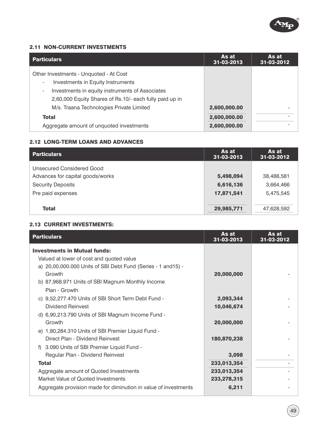

#### 2.11 NON-CURRENT INVESTMENTS

| <b>Particulars</b>                                      | As at<br>31-03-2013 | As at<br>31-03-2012 |
|---------------------------------------------------------|---------------------|---------------------|
| Other Investments - Unquoted - At Cost                  |                     |                     |
| Investments in Equity Instruments                       |                     |                     |
| Investments in equity instruments of Associates         |                     |                     |
| 2,60,000 Equity Shares of Rs.10/- each fully paid up in |                     |                     |
| M/s. Traana Technologies Private Limited                | 2,600,000.00        |                     |
| <b>Total</b>                                            | 2,600,000.00        |                     |
| Aggregate amount of unquoted investments                | 2,600,000.00        |                     |

#### 2.12 LONG-TERM LOANS AND ADVANCES

| <b>Particulars</b>               | As at<br>31-03-2013 | As at<br>31-03-2012 |
|----------------------------------|---------------------|---------------------|
| Unsecured Considered Good        |                     |                     |
| Advances for capital goods/works | 5,498,094           | 38,488,581          |
| <b>Security Deposits</b>         | 6,616,136           | 3,664,466           |
| Pre paid expenses                | 17,871,541          | 5,475,545           |
| <b>Total</b>                     | 29,985,771          | 47,628,592          |

#### 2.13 CURRENT INVESTMENTS:

| <b>Particulars</b>                                              | As at<br>31-03-2013 | As at<br>31-03-2012 |
|-----------------------------------------------------------------|---------------------|---------------------|
| <b>Investments in Mutual funds:</b>                             |                     |                     |
| Valued at lower of cost and quoted value                        |                     |                     |
| a) 20,00,000.000 Units of SBI Debt Fund (Series - 1 and 15) -   |                     |                     |
| Growth                                                          | 20,000,000          |                     |
| b) 87,968.971 Units of SBI Magnum Monthly Income                |                     |                     |
| Plan - Growth                                                   |                     |                     |
| c) 9,52,277.470 Units of SBI Short Term Debt Fund -             | 2,093,344           |                     |
| Dividend Reinvest                                               | 10,046,674          |                     |
| d) 6,90,213.790 Units of SBI Magnum Income Fund -               |                     |                     |
| Growth                                                          | 20,000,000          |                     |
| e) 1,80,284.310 Units of SBI Premier Liquid Fund -              |                     |                     |
| Direct Plan - Dividend Reinvest                                 | 180,870,238         |                     |
| 3.090 Units of SBI Premier Liquid Fund -<br>f)                  |                     |                     |
| Regular Plan - Dividend Reinvest                                | 3,098               |                     |
| <b>Total</b>                                                    | 233,013,354         |                     |
| Aggregate amount of Quoted Investments                          | 233,013,354         |                     |
| Market Value of Quoted Investments                              | 233,278,315         |                     |
| Aggregate provision made for diminution in value of investments | 6,211               |                     |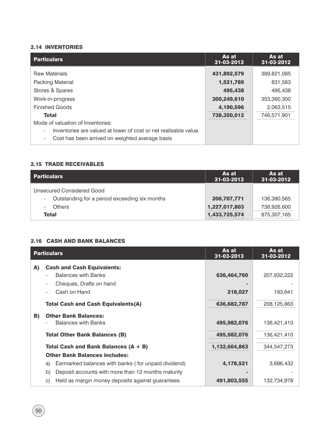#### 2.14 INVENTORIES

| <b>Particulars</b>                                                                                                                              | As at<br>31-03-2013      | As at<br>31-03-2012    |
|-------------------------------------------------------------------------------------------------------------------------------------------------|--------------------------|------------------------|
| <b>Raw Materials</b><br>Packing Material                                                                                                        | 431,892,579<br>1,521,789 | 389,821,085<br>831,563 |
| Stores & Spares                                                                                                                                 | 495,438                  | 495,438                |
| Work-in-progress                                                                                                                                | 300,249,610              | 353,360,300            |
| <b>Finished Goods</b>                                                                                                                           | 4,190,596                | 2,063,515              |
| <b>Total</b>                                                                                                                                    | 738,350,012              | 746,571,901            |
| Mode of valuation of Inventories:                                                                                                               |                          |                        |
| Inventories are valued at lower of cost or net realisable value.<br>Cost has been arrived on weighted average basis<br>$\overline{\phantom{a}}$ |                          |                        |

#### 2.15 TRADE RECEIVABLES

| <b>Particulars</b>                                                         | <b>As at</b><br>31-03-2013 | As at<br>31-03-2012 |
|----------------------------------------------------------------------------|----------------------------|---------------------|
| Unsecured Considered Good<br>Outstanding for a period exceeding six months | 206,707,771                | 136,380,565         |
| <b>Others</b>                                                              | 1,227,017,803              | 738,926,600         |
| <b>Total</b>                                                               | 1,433,725,574              | 875,307,165         |

#### 2.16 CASH AND BANK BALANCES

|    | <b>Particulars</b>                                        | As at<br>31-03-2013 | As at<br>31-03-2012 |
|----|-----------------------------------------------------------|---------------------|---------------------|
| A) | <b>Cash and Cash Equivalents:</b>                         |                     |                     |
|    | <b>Balances with Banks</b>                                | 636,464,760         | 207,932,222         |
|    | Cheques, Drafts on hand                                   |                     |                     |
|    | Cash on Hand                                              | 218,027             | 193,641             |
|    | <b>Total Cash and Cash Equivalents(A)</b>                 | 636,682,787         | 208,125,863         |
| B) | <b>Other Bank Balances:</b>                               |                     |                     |
|    | <b>Balances with Banks</b>                                | 495,982,076         | 136,421,410         |
|    | <b>Total Other Bank Balances (B)</b>                      | 495,982,076         | 136,421,410         |
|    | Total Cash and Bank Balances $(A + B)$                    | 1,132,664,863       | 344,547,273         |
|    | <b>Other Bank Balances includes:</b>                      |                     |                     |
|    | Earmarked balances with banks (for unpaid dividend)<br>a) | 4,178,521           | 3,686,432           |
|    | Deposit accounts with more than 12 months maturity<br>b)  |                     |                     |
|    | Held as margin money deposits against guarantees<br>C)    | 491,803,555         | 132,734,978         |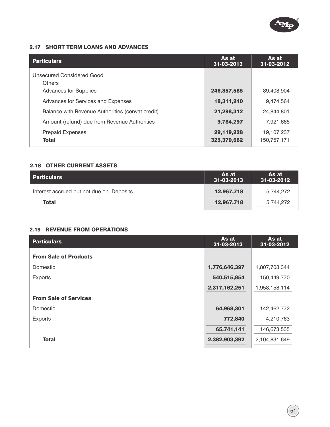

#### 2.17 SHORT TERM LOANS AND ADVANCES

| <b>Particulars</b>                               | As at<br>31-03-2013       | As at<br>31-03-2012       |
|--------------------------------------------------|---------------------------|---------------------------|
| Unsecured Considered Good<br><b>Others</b>       |                           |                           |
| <b>Advances for Supplies</b>                     | 246,857,585               | 89,408,904                |
| Advances for Services and Expenses               | 18,311,240                | 9,474,564                 |
| Balance with Revenue Authorities (cenvat credit) | 21,298,312                | 24.844.801                |
| Amount (refund) due from Revenue Authorities     | 9,784,297                 | 7,921,665                 |
| <b>Prepaid Expenses</b><br><b>Total</b>          | 29,119,228<br>325,370,662 | 19,107,237<br>150,757,171 |

#### 2.18 OTHER CURRENT ASSETS

| l Particulars                            | As at<br>31-03-2013 | As at<br>31-03-2012 |
|------------------------------------------|---------------------|---------------------|
| Interest accrued but not due on Deposits | 12,967,718          | 5,744,272           |
| <b>Total</b>                             | 12,967,718          | 5,744,272           |

#### 2.19 REVENUE FROM OPERATIONS

| <b>Particulars</b>           | As at<br>31-03-2013 | As at<br>31-03-2012 |
|------------------------------|---------------------|---------------------|
| <b>From Sale of Products</b> |                     |                     |
| <b>Domestic</b>              | 1,776,646,397       | 1,807,708,344       |
| <b>Exports</b>               | 540,515,854         | 150,449,770         |
|                              | 2,317,162,251       | 1,958,158,114       |
| <b>From Sale of Services</b> |                     |                     |
| <b>Domestic</b>              | 64,968,301          | 142,462,772         |
| <b>Exports</b>               | 772,840             | 4,210,763           |
|                              | 65,741,141          | 146,673,535         |
| <b>Total</b>                 | 2,382,903,392       | 2,104,831,649       |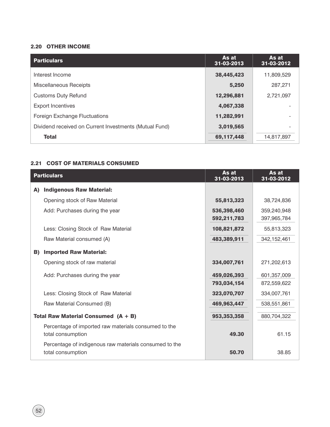#### 2.20 OTHER INCOME

| <b>Particulars</b>                                     | As at<br>31-03-2013 | As at<br>31-03-2012 |
|--------------------------------------------------------|---------------------|---------------------|
| Interest Income                                        | 38,445,423          | 11,809,529          |
| <b>Miscellaneous Receipts</b>                          | 5,250               | 287,271             |
| <b>Customs Duty Refund</b>                             | 12,296,881          | 2,721,097           |
| <b>Export Incentives</b>                               | 4,067,338           |                     |
| Foreign Exchange Fluctuations                          | 11,282,991          |                     |
| Dividend received on Current Investments (Mutual Fund) | 3,019,565           |                     |
| <b>Total</b>                                           | 69,117,448          | 14,817,897          |

#### 2.21 COST OF MATERIALS CONSUMED

|    | <b>Particulars</b>                                                          | As at<br>31-03-2013 | As at<br>31-03-2012 |
|----|-----------------------------------------------------------------------------|---------------------|---------------------|
| A) | <b>Indigenous Raw Material:</b>                                             |                     |                     |
|    | Opening stock of Raw Material                                               | 55,813,323          | 38,724,836          |
|    | Add: Purchases during the year                                              | 536,398,460         | 359,240,948         |
|    |                                                                             | 592,211,783         | 397,965,784         |
|    | Less: Closing Stock of Raw Material                                         | 108,821,872         | 55,813,323          |
|    | Raw Material consumed (A)                                                   | 483,389,911         | 342,152,461         |
| B) | <b>Imported Raw Material:</b>                                               |                     |                     |
|    | Opening stock of raw material                                               | 334,007,761         | 271,202,613         |
|    | Add: Purchases during the year                                              | 459,026,393         | 601, 357, 009       |
|    |                                                                             | 793,034,154         | 872,559,622         |
|    | Less: Closing Stock of Raw Material                                         | 323,070,707         | 334,007,761         |
|    | Raw Material Consumed (B)                                                   | 469,963,447         | 538,551,861         |
|    | Total Raw Material Consumed $(A + B)$                                       | 953,353,358         | 880,704,322         |
|    | Percentage of imported raw materials consumed to the<br>total consumption   | 49.30               | 61.15               |
|    | Percentage of indigenous raw materials consumed to the<br>total consumption | 50.70               | 38.85               |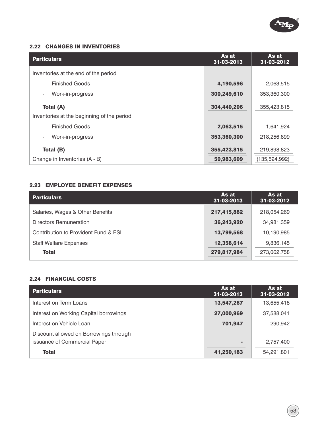

#### 2.22 CHANGES IN INVENTORIES

| <b>Particulars</b>                         | As at<br>31-03-2013 | As at<br>31-03-2012 |
|--------------------------------------------|---------------------|---------------------|
| Inventories at the end of the period       |                     |                     |
| <b>Finished Goods</b>                      | 4,190,596           | 2,063,515           |
| Work-in-progress                           | 300,249,610         | 353,360,300         |
| Total (A)                                  | 304,440,206         | 355,423,815         |
| Inventories at the beginning of the period |                     |                     |
| <b>Finished Goods</b>                      | 2,063,515           | 1,641,924           |
| Work-in-progress                           | 353,360,300         | 218,256,899         |
| Total (B)                                  | 355,423,815         | 219,898,823         |
| Change in Inventories (A - B)              | 50,983,609          | (135, 524, 992)     |

#### 2.23 EMPLOYEE BENEFIT EXPENSES

| <b>Particulars</b>                   | As at<br>31-03-2013 | As at<br>31-03-2012 |
|--------------------------------------|---------------------|---------------------|
| Salaries, Wages & Other Benefits     | 217,415,882         | 218,054,269         |
| Directors Remuneration               | 36,243,920          | 34,981,359          |
| Contribution to Provident Fund & ESI | 13,799,568          | 10,190,985          |
| <b>Staff Welfare Expenses</b>        | 12,358,614          | 9,836,145           |
| <b>Total</b>                         | 279,817,984         | 273,062,758         |

## 2.24 FINANCIAL COSTS

| <b>Particulars</b>                     | As at<br>31-03-2013 | As at<br>31-03-2012 |
|----------------------------------------|---------------------|---------------------|
| Interest on Term Loans                 | 13,547,267          | 13,655,418          |
| Interest on Working Capital borrowings | 27,000,969          | 37,588,041          |
| Interest on Vehicle Loan               | 701,947             | 290,942             |
| Discount allowed on Borrowings through |                     |                     |
| issuance of Commercial Paper           |                     | 2,757,400           |
| <b>Total</b>                           | 41,250,183          | 54,291,801          |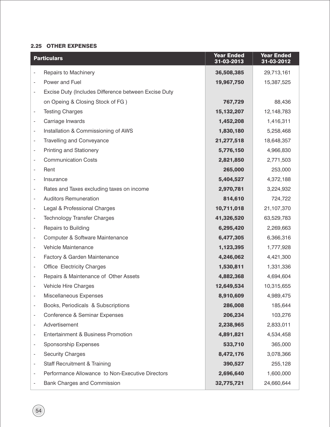#### 2.25 OTHER EXPENSES

| <b>Particulars</b>                                                                   | <b>Year Ended</b><br>31-03-2013 | <b>Year Ended</b><br>31-03-2012 |
|--------------------------------------------------------------------------------------|---------------------------------|---------------------------------|
| Repairs to Machinery                                                                 | 36,508,385                      | 29,713,161                      |
| Power and Fuel<br>$\overline{\phantom{a}}$                                           | 19,967,750                      | 15,387,525                      |
| Excise Duty (Includes Difference between Excise Duty<br>$\qquad \qquad \blacksquare$ |                                 |                                 |
| on Opeing & Closing Stock of FG)                                                     | 767,729                         | 88,436                          |
| <b>Testing Charges</b><br>$\overline{\phantom{a}}$                                   | 15, 132, 207                    | 12,148,783                      |
| Carriage Inwards<br>$\overline{\phantom{a}}$                                         | 1,452,208                       | 1,416,311                       |
| Installation & Commissioning of AWS<br>$\overline{\phantom{a}}$                      | 1,830,180                       | 5,258,468                       |
| <b>Travelling and Conveyance</b><br>$\overline{\phantom{a}}$                         | 21,277,518                      | 18,648,357                      |
| <b>Printing and Stationery</b><br>$\overline{\phantom{a}}$                           | 5,776,150                       | 4,966,830                       |
| <b>Communication Costs</b><br>$\overline{\phantom{a}}$                               | 2,821,850                       | 2,771,503                       |
| Rent<br>$\overline{\phantom{a}}$                                                     | 265,000                         | 253,000                         |
| Insurance<br>$\overline{\phantom{a}}$                                                | 5,404,527                       | 4,372,188                       |
| Rates and Taxes excluding taxes on income<br>$\overline{\phantom{a}}$                | 2,970,781                       | 3,224,932                       |
| <b>Auditors Remuneration</b><br>$\overline{\phantom{a}}$                             | 814,610                         | 724,722                         |
| Legal & Professional Charges<br>$\overline{\phantom{a}}$                             | 10,711,018                      | 21,107,370                      |
| <b>Technology Transfer Charges</b><br>$\overline{\phantom{a}}$                       | 41,326,520                      | 63,529,783                      |
| Repairs to Building<br>$\overline{\phantom{a}}$                                      | 6,295,420                       | 2,269,663                       |
| Computer & Software Maintenance<br>$\overline{\phantom{a}}$                          | 6,477,305                       | 6,366,316                       |
| Vehicle Maintenance<br>$\overline{\phantom{a}}$                                      | 1,123,395                       | 1,777,928                       |
| Factory & Garden Maintenance<br>$\overline{\phantom{a}}$                             | 4,246,062                       | 4,421,300                       |
| <b>Office Electricity Charges</b><br>$\overline{\phantom{a}}$                        | 1,530,811                       | 1,331,336                       |
| Repairs & Maintenance of Other Assets<br>$\overline{\phantom{a}}$                    | 4,882,368                       | 4,694,604                       |
| Vehicle Hire Charges<br>$\overline{\phantom{a}}$                                     | 12,649,534                      | 10,315,655                      |
| Miscellaneous Expenses                                                               | 8,910,609                       | 4,989,475                       |
| Books, Periodicals & Subscriptions<br>$\qquad \qquad \blacksquare$                   | 286,008                         | 185,644                         |
| Conference & Seminar Expenses<br>$\overline{\phantom{a}}$                            | 206,234                         | 103,276                         |
| Advertisement<br>$\overline{\phantom{a}}$                                            | 2,238,965                       | 2,833,011                       |
| Entertainment & Business Promotion<br>$\overline{\phantom{a}}$                       | 4,891,821                       | 4,534,458                       |
| Sponsorship Expenses<br>$\overline{\phantom{a}}$                                     | 533,710                         | 365,000                         |
| <b>Security Charges</b><br>$\overline{\phantom{a}}$                                  | 8,472,176                       | 3,078,366                       |
| <b>Staff Recruitment &amp; Training</b><br>$\overline{\phantom{a}}$                  | 390,527                         | 255,128                         |
| Performance Allowance to Non-Executive Directors<br>$\overline{\phantom{a}}$         | 2,696,640                       | 1,600,000                       |
| Bank Charges and Commission                                                          | 32,775,721                      | 24,660,644                      |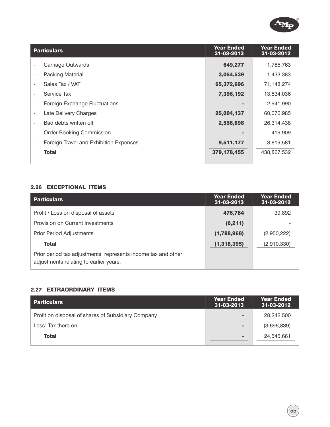

| <b>Particulars</b>                     | <b>Year Ended</b><br>31-03-2013 | <b>Year Ended</b><br>31-03-2012 |
|----------------------------------------|---------------------------------|---------------------------------|
| Carriage Outwards                      | 649,277                         | 1,785,763                       |
| Packing Material                       | 3,054,539                       | 1,433,383                       |
| Sales Tax / VAT                        | 65,372,696                      | 71,148,274                      |
| Service Tax                            | 7,396,192                       | 13,534,036                      |
| Foreign Exchange Fluctuations          |                                 | 2,941,990                       |
| Late Delivery Charges                  | 25,004,137                      | 60,076,985                      |
| Bad debts written off                  | 2,556,698                       | 26,314,438                      |
| <b>Order Booking Commission</b>        |                                 | 419,909                         |
| Foreign Travel and Exhibition Expenses | 9,511,177                       | 3,819,581                       |
| <b>Total</b>                           | 379,178,455                     | 438,867,532                     |
|                                        |                                 |                                 |

## 2.26 EXCEPTIONAL ITEMS

| <b>Particulars</b>                                                                                     | <b>Year Ended</b><br>31-03-2013 | <b>Year Ended</b><br>31-03-2012 |
|--------------------------------------------------------------------------------------------------------|---------------------------------|---------------------------------|
| Profit / Loss on disposal of assets                                                                    | 476,784                         | 39,892                          |
| Provision on Current Investments                                                                       | (6,211)                         |                                 |
| <b>Prior Period Adjustments</b>                                                                        | (1,788,968)                     | (2,950,222)                     |
| <b>Total</b>                                                                                           | (1,318,395)                     | (2,910,330)                     |
| Prior period tax adjustments represents income tax and other<br>adjustments relating to earlier years. |                                 |                                 |

#### 2.27 EXTRAORDINARY ITEMS

| $\blacksquare$ | 28,242,500  |
|----------------|-------------|
| $\blacksquare$ | (3,696,839) |
| $\sim$         | 24,545,661  |
|                |             |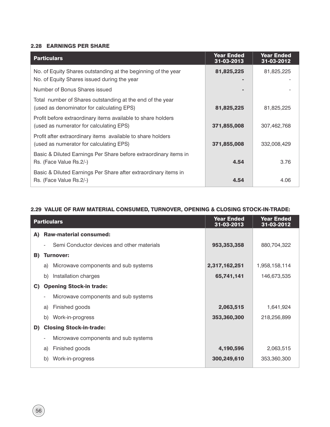#### 2.28 EARNINGS PER SHARE

| <b>Particulars</b>                                                                                           | <b>Year Ended</b><br>31-03-2013 | <b>Year Ended</b><br>31-03-2012 |
|--------------------------------------------------------------------------------------------------------------|---------------------------------|---------------------------------|
| No. of Equity Shares outstanding at the beginning of the year<br>No. of Equity Shares issued during the year | 81,825,225                      | 81,825,225                      |
| Number of Bonus Shares issued                                                                                |                                 |                                 |
| Total number of Shares outstanding at the end of the year<br>(used as denominator for calculating EPS)       | 81,825,225                      | 81,825,225                      |
| Profit before extraordinary items available to share holders<br>(used as numerator for calculating EPS)      | 371,855,008                     | 307,462,768                     |
| Profit after extraordinary items available to share holders<br>(used as numerator for calculating EPS)       | 371,855,008                     | 332,008,429                     |
| Basic & Diluted Earnings Per Share before extraordinary items in<br>Rs. (Face Value Rs.2/-)                  | 4.54                            | 3.76                            |
| Basic & Diluted Earnings Per Share after extraordinary items in<br>Rs. (Face Value Rs.2/-)                   | 4.54                            | 4.06                            |

#### 2.29 VALUE OF RAW MATERIAL CONSUMED, TURNOVER, OPENING & CLOSING STOCK-IN-TRADE:

|    | <b>Particulars</b> |                                            | <b>Year Ended</b><br>31-03-2013 | <b>Year Ended</b><br>31-03-2012 |
|----|--------------------|--------------------------------------------|---------------------------------|---------------------------------|
| A) |                    | <b>Raw-material consumed:</b>              |                                 |                                 |
|    |                    | Semi Conductor devices and other materials | 953,353,358                     | 880,704,322                     |
| B) |                    | <b>Turnover:</b>                           |                                 |                                 |
|    | a)                 | Microwave components and sub systems       | 2,317,162,251                   | 1,958,158,114                   |
|    | b)                 | Installation charges                       | 65,741,141                      | 146,673,535                     |
| C) |                    | <b>Opening Stock-in trade:</b>             |                                 |                                 |
|    |                    | Microwave components and sub systems       |                                 |                                 |
|    | a)                 | Finished goods                             | 2,063,515                       | 1,641,924                       |
|    | b)                 | Work-in-progress                           | 353,360,300                     | 218,256,899                     |
| D) |                    | <b>Closing Stock-in-trade:</b>             |                                 |                                 |
|    |                    | Microwave components and sub systems       |                                 |                                 |
|    | a)                 | Finished goods                             | 4,190,596                       | 2,063,515                       |
|    | b)                 | Work-in-progress                           | 300,249,610                     | 353,360,300                     |
|    |                    |                                            |                                 |                                 |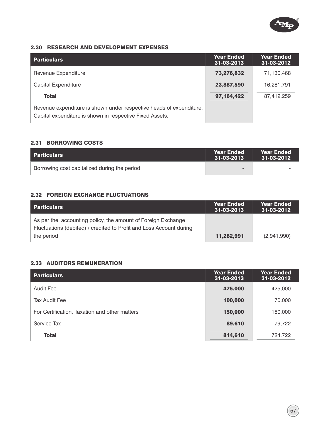

#### 2.30 RESEARCH AND DEVELOPMENT EXPENSES

| <b>Particulars</b>                                                                                                              | <b>Year Ended</b><br>31-03-2013 | <b>Year Ended</b><br>31-03-2012 |
|---------------------------------------------------------------------------------------------------------------------------------|---------------------------------|---------------------------------|
| Revenue Expenditure                                                                                                             | 73,276,832                      | 71,130,468                      |
| <b>Capital Expenditure</b>                                                                                                      | 23,887,590                      | 16,281,791                      |
| <b>Total</b>                                                                                                                    | 97,164,422                      | 87,412,259                      |
| Revenue expenditure is shown under respective heads of expenditure.<br>Capital expenditure is shown in respective Fixed Assets. |                                 |                                 |

#### 2.31 BORROWING COSTS

| l Particulars                                | Year Ended<br>31-03-2013 | <b>Year Ended</b><br>$\sqrt{31-03-2012}$ |
|----------------------------------------------|--------------------------|------------------------------------------|
| Borrowing cost capitalized during the period | $\sim$                   | -                                        |

#### 2.32 FOREIGN EXCHANGE FLUCTUATIONS

| <b>Particulars</b>                                                                                                                  | <b>Year Ended</b><br>31-03-2013 | <b>Year Ended</b><br>31-03-2012 |
|-------------------------------------------------------------------------------------------------------------------------------------|---------------------------------|---------------------------------|
| As per the accounting policy, the amount of Foreign Exchange<br>Fluctuations (debited) / credited to Profit and Loss Account during |                                 |                                 |
| the period                                                                                                                          | 11,282,991                      | (2,941,990)                     |

#### 2.33 AUDITORS REMUNERATION

| <b>Particulars</b>                            | <b>Year Ended</b><br>31-03-2013 | <b>Year Ended</b><br>31-03-2012 |
|-----------------------------------------------|---------------------------------|---------------------------------|
| Audit Fee                                     | 475,000                         | 425,000                         |
| Tax Audit Fee                                 | 100,000                         | 70,000                          |
| For Certification, Taxation and other matters | 150,000                         | 150,000                         |
| Service Tax                                   | 89,610                          | 79,722                          |
| <b>Total</b>                                  | 814,610                         | 724,722                         |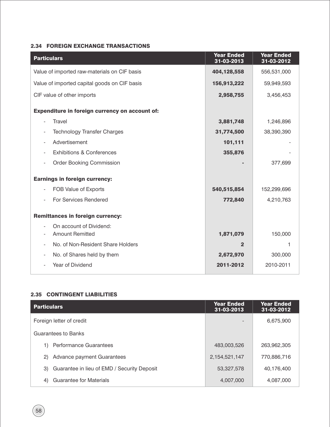## 2.34 FOREIGN EXCHANGE TRANSACTIONS

| <b>Particulars</b>                             | <b>Year Ended</b><br>31-03-2013 | <b>Year Ended</b><br>31-03-2012 |
|------------------------------------------------|---------------------------------|---------------------------------|
| Value of imported raw-materials on CIF basis   | 404,128,558                     | 556,531,000                     |
| Value of imported capital goods on CIF basis   | 156,913,222                     | 59,949,593                      |
| CIF value of other imports                     | 2,958,755                       | 3,456,453                       |
| Expenditure in foreign currency on account of: |                                 |                                 |
| <b>Travel</b>                                  | 3,881,748                       | 1,246,896                       |
| <b>Technology Transfer Charges</b>             | 31,774,500                      | 38,390,390                      |
| Advertisement                                  | 101,111                         |                                 |
| <b>Exhibitions &amp; Conferences</b>           | 355,876                         |                                 |
| <b>Order Booking Commission</b>                |                                 | 377,699                         |
| <b>Earnings in foreign currency:</b>           |                                 |                                 |
| FOB Value of Exports                           | 540,515,854                     | 152,299,696                     |
| For Services Rendered                          | 772,840                         | 4,210,763                       |
| <b>Remittances in foreign currency:</b>        |                                 |                                 |
| On account of Dividend:                        |                                 |                                 |
| <b>Amount Remitted</b>                         | 1,871,079                       | 150,000                         |
| No. of Non-Resident Share Holders              | $\mathbf{2}$                    | 1                               |
| No. of Shares held by them                     | 2,672,970                       | 300,000                         |
| Year of Dividend                               | 2011-2012                       | 2010-2011                       |

#### 2.35 CONTINGENT LIABILITIES

| <b>Particulars</b>                                | <b>Year Ended</b><br>31-03-2013 | <b>Year Ended</b><br>31-03-2012 |
|---------------------------------------------------|---------------------------------|---------------------------------|
| Foreign letter of credit                          |                                 | 6,675,900                       |
| Guarantees to Banks                               |                                 |                                 |
| <b>Performance Guarantees</b>                     | 483,003,526                     | 263,962,305                     |
| Advance payment Guarantees<br>2)                  | 2, 154, 521, 147                | 770,886,716                     |
| Guarantee in lieu of EMD / Security Deposit<br>3) | 53,327,578                      | 40,176,400                      |
| <b>Guarantee for Materials</b><br>4)              | 4,007,000                       | 4,087,000                       |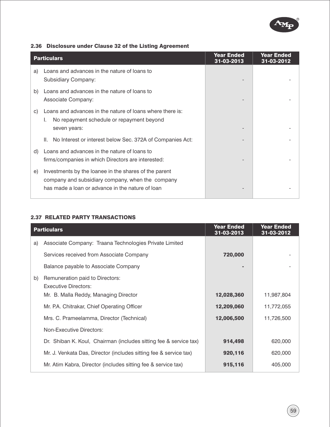

| 2.36 Disclosure under Clause 32 of the Listing Agreement |  |  |  |
|----------------------------------------------------------|--|--|--|
|                                                          |  |  |  |

|    | <b>Particulars</b>                                                                                                                                            | <b>Year Ended</b><br>31-03-2013 | <b>Year Ended</b><br>31-03-2012 |
|----|---------------------------------------------------------------------------------------------------------------------------------------------------------------|---------------------------------|---------------------------------|
| a) | Loans and advances in the nature of loans to<br><b>Subsidiary Company:</b>                                                                                    |                                 |                                 |
| b) | Loans and advances in the nature of loans to<br>Associate Company:                                                                                            |                                 |                                 |
| C) | Loans and advances in the nature of loans where there is:<br>No repayment schedule or repayment beyond<br>seven years:                                        |                                 |                                 |
|    | No Interest or interest below Sec. 372A of Companies Act:<br>Ш.                                                                                               |                                 |                                 |
| d) | Loans and advances in the nature of loans to<br>firms/companies in which Directors are interested:                                                            |                                 |                                 |
| e) | Investments by the loanee in the shares of the parent<br>company and subsidiary company, when the company<br>has made a loan or advance in the nature of loan |                                 |                                 |

#### 2.37 RELATED PARTY TRANSACTIONS

|    | <b>Particulars</b>                                                | <b>Year Ended</b><br>31-03-2013 | <b>Year Ended</b><br>31-03-2012 |
|----|-------------------------------------------------------------------|---------------------------------|---------------------------------|
| a) | Associate Company: Traana Technologies Private Limited            |                                 |                                 |
|    | Services received from Associate Company                          | 720,000                         |                                 |
|    | Balance payable to Associate Company                              |                                 |                                 |
| b) | Remuneration paid to Directors:<br><b>Executive Directors:</b>    |                                 |                                 |
|    | Mr. B. Malla Reddy, Managing Director                             | 12,028,360                      | 11,987,804                      |
|    | Mr. P.A. Chitrakar, Chief Operating Officer                       | 12,209,060                      | 11,772,055                      |
|    | Mrs. C. Prameelamma, Director (Technical)                         | 12,006,500                      | 11,726,500                      |
|    | Non-Executive Directors:                                          |                                 |                                 |
|    | Dr. Shiban K. Koul, Chairman (includes sitting fee & service tax) | 914,498                         | 620,000                         |
|    | Mr. J. Venkata Das, Director (includes sitting fee & service tax) | 920,116                         | 620,000                         |
|    | Mr. Atim Kabra, Director (includes sitting fee & service tax)     | 915,116                         | 405,000                         |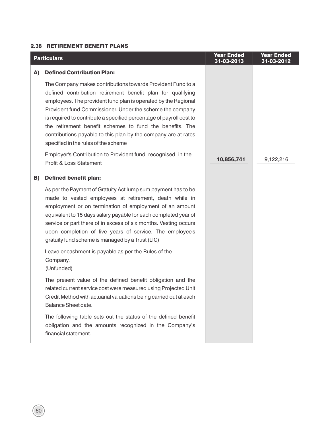## 2.38 RETIREMENT BENEFIT PLANS

|    | <b>Particulars</b>                                                                                                                                                                                                                                                                                                                                                                                                                                                                                     | <b>Year Ended</b><br>31-03-2013 | <b>Year Ended</b><br>31-03-2012 |
|----|--------------------------------------------------------------------------------------------------------------------------------------------------------------------------------------------------------------------------------------------------------------------------------------------------------------------------------------------------------------------------------------------------------------------------------------------------------------------------------------------------------|---------------------------------|---------------------------------|
| A) | <b>Defined Contribution Plan:</b>                                                                                                                                                                                                                                                                                                                                                                                                                                                                      |                                 |                                 |
|    | The Company makes contributions towards Provident Fund to a<br>defined contribution retirement benefit plan for qualifying<br>employees. The provident fund plan is operated by the Regional<br>Provident fund Commissioner. Under the scheme the company<br>is required to contribute a specified percentage of payroll cost to<br>the retirement benefit schemes to fund the benefits. The<br>contributions payable to this plan by the company are at rates<br>specified in the rules of the scheme |                                 |                                 |
|    | Employer's Contribution to Provident fund recognised in the<br><b>Profit &amp; Loss Statement</b>                                                                                                                                                                                                                                                                                                                                                                                                      | 10,856,741                      | 9,122,216                       |
| B) | <b>Defined benefit plan:</b>                                                                                                                                                                                                                                                                                                                                                                                                                                                                           |                                 |                                 |
|    | As per the Payment of Gratuity Act lump sum payment has to be<br>made to vested employees at retirement, death while in<br>employment or on termination of employment of an amount<br>equivalent to 15 days salary payable for each completed year of<br>service or part there of in excess of six months. Vesting occurs<br>upon completion of five years of service. The employee's<br>gratuity fund scheme is managed by a Trust (LIC)                                                              |                                 |                                 |
|    | Leave encashment is payable as per the Rules of the<br>Company.<br>(Unfunded)                                                                                                                                                                                                                                                                                                                                                                                                                          |                                 |                                 |
|    | The present value of the defined benefit obligation and the<br>related current service cost were measured using Projected Unit<br>Credit Method with actuarial valuations being carried out at each<br>Balance Sheet date.                                                                                                                                                                                                                                                                             |                                 |                                 |
|    | The following table sets out the status of the defined benefit<br>obligation and the amounts recognized in the Company's<br>financial statement.                                                                                                                                                                                                                                                                                                                                                       |                                 |                                 |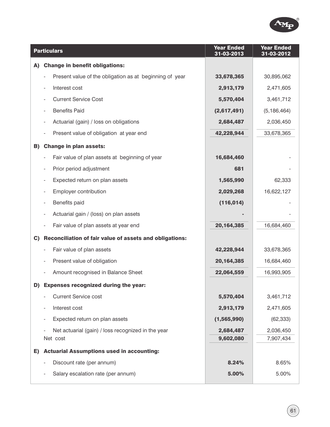

|    | <b>Particulars</b>                                      | <b>Year Ended</b><br>31-03-2013 | <b>Year Ended</b><br>31-03-2012 |
|----|---------------------------------------------------------|---------------------------------|---------------------------------|
| A) | <b>Change in benefit obligations:</b>                   |                                 |                                 |
|    | Present value of the obligation as at beginning of year | 33,678,365                      | 30,895,062                      |
|    | Interest cost                                           | 2,913,179                       | 2,471,605                       |
|    | <b>Current Service Cost</b>                             | 5,570,404                       | 3,461,712                       |
|    | <b>Benefits Paid</b>                                    | (2,617,491)                     | (5, 186, 464)                   |
|    | Actuarial (gain) / loss on obligations                  | 2,684,487                       | 2,036,450                       |
|    | Present value of obligation at year end                 | 42,228,944                      | 33,678,365                      |
| B) | <b>Change in plan assets:</b>                           |                                 |                                 |
|    | Fair value of plan assets at beginning of year          | 16,684,460                      |                                 |
|    | Prior period adjustment                                 | 681                             |                                 |
|    | Expected return on plan assets                          | 1,565,990                       | 62,333                          |
|    | Employer contribution                                   | 2,029,268                       | 16,622,127                      |
|    | Benefits paid                                           | (116, 014)                      |                                 |
|    | Actuarial gain / (loss) on plan assets                  |                                 |                                 |
|    | Fair value of plan assets at year end                   | 20, 164, 385                    | 16,684,460                      |
| C) | Reconciliation of fair value of assets and obligations: |                                 |                                 |
|    | Fair value of plan assets                               | 42,228,944                      | 33,678,365                      |
|    | Present value of obligation                             | 20, 164, 385                    | 16,684,460                      |
|    | Amount recognised in Balance Sheet                      | 22,064,559                      | 16,993,905                      |
| D) | <b>Expenses recognized during the year:</b>             |                                 |                                 |
|    | <b>Current Service cost</b>                             | 5,570,404                       | 3,461,712                       |
|    | Interest cost                                           | 2,913,179                       | 2,471,605                       |
|    | Expected return on plan assets                          | (1,565,990)                     | (62, 333)                       |
|    | Net actuarial (gain) / loss recognized in the year      | 2,684,487                       | 2,036,450                       |
|    | Net cost                                                | 9,602,080                       | 7,907,434                       |
| E) | <b>Actuarial Assumptions used in accounting:</b>        |                                 |                                 |
|    | Discount rate (per annum)                               | 8.24%                           | 8.65%                           |
|    | Salary escalation rate (per annum)                      | 5.00%                           | 5.00%                           |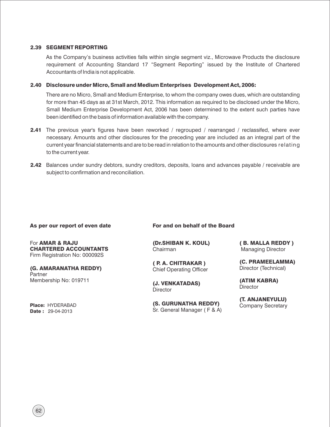#### 2.39 SEGMENT REPORTING

As the Company's business activities falls within single segment viz., Microwave Products the disclosure requirement of Accounting Standard 17 "Segment Reporting" issued by the Institute of Chartered Accountants of India is not applicable.

#### 2.40 Disclosure under Micro, Small and Medium Enterprises Development Act, 2006:

There are no Micro, Small and Medium Enterprise, to whom the company owes dues, which are outstanding for more than 45 days as at 31st March, 2012. This information as required to be disclosed under the Micro, Small Medium Enterprise Development Act, 2006 has been determined to the extent such parties have been identified on the basis of information available with the company.

- **2.41** The previous year's figures have been reworked / regrouped / rearranged / reclassifed, where ever necessary. Amounts and other disclosures for the preceding year are included as an integral part of the current year financial statements and are to be read in relation to the amounts and other disclosures relating to the current year.
- 2.42 Balances under sundry debtors, sundry creditors, deposits, loans and advances payable / receivable are subject to confirmation and reconciliation.

#### As per our report of even date

For AMAR & RAJU CHARTERED ACCOUNTANTS Firm Registration No: 000092S

(G. AMARANATHA REDDY) **Partner** Membership No: 019711

Place: HYDERABAD **Date: 29-04-2013** 

For and on behalf of the Board

(Dr.SHIBAN K. KOUL) Chairman

( P. A. CHITRAKAR ) Chief Operating Officer

(J. VENKATADAS) **Director** 

(S. GURUNATHA REDDY) Sr. General Manager ( F & A) ( B. MALLA REDDY ) Managing Director

(C. PRAMEELAMMA) Director (Technical)

(ATIM KABRA) **Director** 

(T. ANJANEYULU) Company Secretary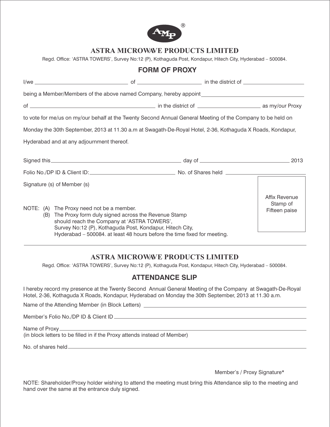

## **ASTRA MICROWAVE PRODUCTS LIMITED**

Regd. Office: 'ASTRA TOWERS', Survey No:12 (P), Kothaguda Post, Kondapur, Hitech City, Hyderabad – 500084.

| being a Member/Members of the above named Company, hereby appoint__________________________________                                                                                                                                                                                         |                                            |
|---------------------------------------------------------------------------------------------------------------------------------------------------------------------------------------------------------------------------------------------------------------------------------------------|--------------------------------------------|
|                                                                                                                                                                                                                                                                                             |                                            |
| to vote for me/us on my/our behalf at the Twenty Second Annual General Meeting of the Company to be held on                                                                                                                                                                                 |                                            |
| Monday the 30th September, 2013 at 11.30 a.m at Swagath-De-Royal Hotel, 2-36, Kothaguda X Roads, Kondapur,                                                                                                                                                                                  |                                            |
| Hyderabad and at any adjournment thereof.                                                                                                                                                                                                                                                   |                                            |
| Signed this 2013                                                                                                                                                                                                                                                                            |                                            |
| Folio No./DP ID & Client ID: No. of Shares held No./DP ID & Client ID:                                                                                                                                                                                                                      |                                            |
| Signature (s) of Member (s)                                                                                                                                                                                                                                                                 |                                            |
| NOTE: (A) The Proxy need not be a member.<br>(B) The Proxy form duly signed across the Revenue Stamp<br>should reach the Company at 'ASTRA TOWERS',<br>Survey No:12 (P), Kothaguda Post, Kondapur, Hitech City,<br>Hyderabad - 500084. at least 48 hours before the time fixed for meeting. | Affix Revenue<br>Stamp of<br>Fifteen paise |

## **ASTRA MICROWAVE PRODUCTS LIMITED**

Regd. Office: 'ASTRA TOWERS', Survey No:12 (P), Kothaguda Post, Kondapur, Hitech City, Hyderabad – 500084.

## **ATTENDANCE SLIP**

I hereby record my presence at the Twenty Second Annual General Meeting of the Company at Swagath-De-Royal Hotel, 2-36, Kothaguda X Roads, Kondapur, Hyderabad on Monday the 30th September, 2013 at 11.30 a.m.

Name of the Attending Member (in Block Letters)

Member's Folio No./DP ID & Client ID

#### Name of Proxy (in block letters to be filled in if the Proxy attends instead of Member)

No. of shares held

Member's / Proxy Signature\*

NOTE: Shareholder/Proxy holder wishing to attend the meeting must bring this Attendance slip to the meeting and hand over the same at the entrance duly signed.